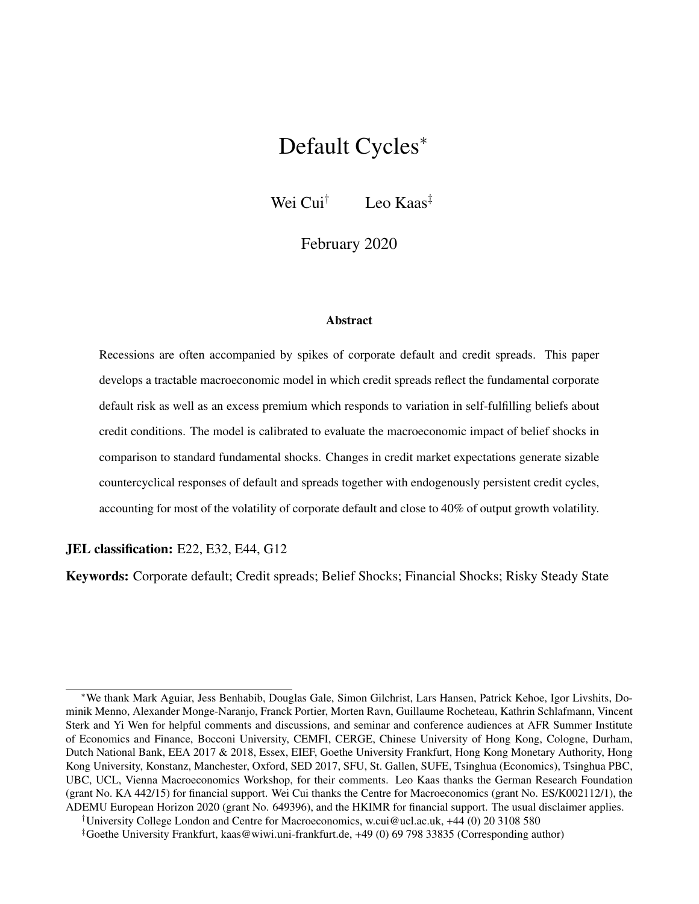# <span id="page-0-0"></span>Default Cycles<sup>∗</sup>

Wei Cui<sup>†</sup> Leo Kaas<sup>‡</sup>

February 2020

#### **Abstract**

Recessions are often accompanied by spikes of corporate default and credit spreads. This paper develops a tractable macroeconomic model in which credit spreads reflect the fundamental corporate default risk as well as an excess premium which responds to variation in self-fulfilling beliefs about credit conditions. The model is calibrated to evaluate the macroeconomic impact of belief shocks in comparison to standard fundamental shocks. Changes in credit market expectations generate sizable countercyclical responses of default and spreads together with endogenously persistent credit cycles, accounting for most of the volatility of corporate default and close to 40% of output growth volatility.

#### JEL classification: E22, E32, E44, G12

Keywords: Corporate default; Credit spreads; Belief Shocks; Financial Shocks; Risky Steady State

<sup>∗</sup>We thank Mark Aguiar, Jess Benhabib, Douglas Gale, Simon Gilchrist, Lars Hansen, Patrick Kehoe, Igor Livshits, Dominik Menno, Alexander Monge-Naranjo, Franck Portier, Morten Ravn, Guillaume Rocheteau, Kathrin Schlafmann, Vincent Sterk and Yi Wen for helpful comments and discussions, and seminar and conference audiences at AFR Summer Institute of Economics and Finance, Bocconi University, CEMFI, CERGE, Chinese University of Hong Kong, Cologne, Durham, Dutch National Bank, EEA 2017 & 2018, Essex, EIEF, Goethe University Frankfurt, Hong Kong Monetary Authority, Hong Kong University, Konstanz, Manchester, Oxford, SED 2017, SFU, St. Gallen, SUFE, Tsinghua (Economics), Tsinghua PBC, UBC, UCL, Vienna Macroeconomics Workshop, for their comments. Leo Kaas thanks the German Research Foundation (grant No. KA 442/15) for financial support. Wei Cui thanks the Centre for Macroeconomics (grant No. ES/K002112/1), the ADEMU European Horizon 2020 (grant No. 649396), and the HKIMR for financial support. The usual disclaimer applies.

<sup>†</sup>University College London and Centre for Macroeconomics, w.cui@ucl.ac.uk, +44 (0) 20 3108 580

<sup>‡</sup>Goethe University Frankfurt, kaas@wiwi.uni-frankfurt.de, +49 (0) 69 798 33835 (Corresponding author)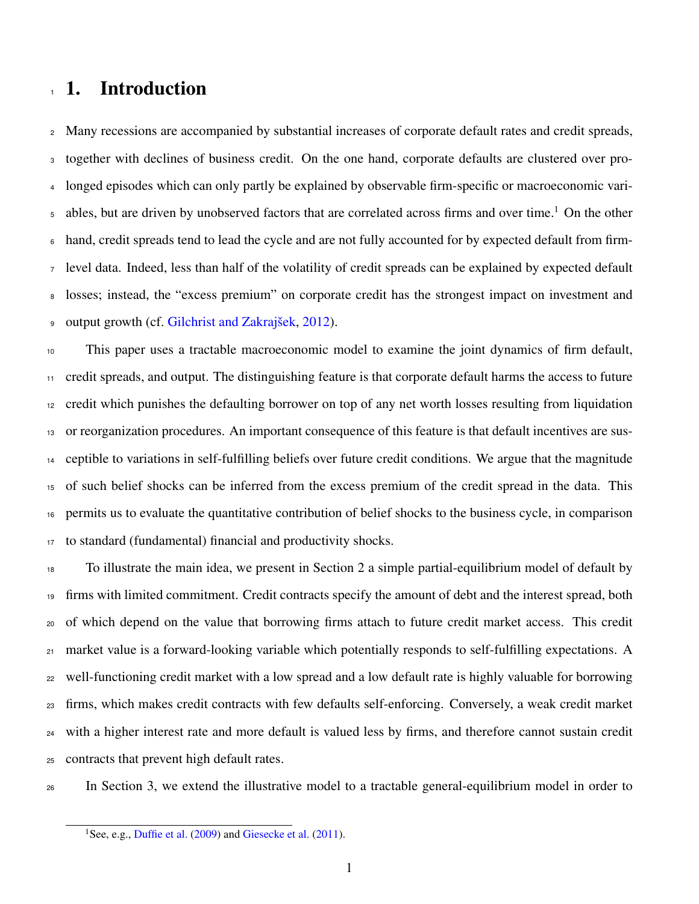# 1. Introduction

 Many recessions are accompanied by substantial increases of corporate default rates and credit spreads, together with declines of business credit. On the one hand, corporate defaults are clustered over pro- longed episodes which can only partly be explained by observable firm-specific or macroeconomic vari-5 ables, but are driven by unobserved factors that are correlated across firms and over time.<sup>[1](#page-0-0)</sup> On the other hand, credit spreads tend to lead the cycle and are not fully accounted for by expected default from firm- level data. Indeed, less than half of the volatility of credit spreads can be explained by expected default losses; instead, the "excess premium" on corporate credit has the strongest impact on investment and output growth (cf. [Gilchrist and Zakrajšek,](#page-30-0) [2012\)](#page-30-0).

 This paper uses a tractable macroeconomic model to examine the joint dynamics of firm default, credit spreads, and output. The distinguishing feature is that corporate default harms the access to future credit which punishes the defaulting borrower on top of any net worth losses resulting from liquidation or reorganization procedures. An important consequence of this feature is that default incentives are sus- ceptible to variations in self-fulfilling beliefs over future credit conditions. We argue that the magnitude of such belief shocks can be inferred from the excess premium of the credit spread in the data. This permits us to evaluate the quantitative contribution of belief shocks to the business cycle, in comparison to standard (fundamental) financial and productivity shocks.

 To illustrate the main idea, we present in Section [2](#page-5-0) a simple partial-equilibrium model of default by firms with limited commitment. Credit contracts specify the amount of debt and the interest spread, both of which depend on the value that borrowing firms attach to future credit market access. This credit market value is a forward-looking variable which potentially responds to self-fulfilling expectations. A well-functioning credit market with a low spread and a low default rate is highly valuable for borrowing firms, which makes credit contracts with few defaults self-enforcing. Conversely, a weak credit market with a higher interest rate and more default is valued less by firms, and therefore cannot sustain credit contracts that prevent high default rates.

In Section [3,](#page-9-0) we extend the illustrative model to a tractable general-equilibrium model in order to

<sup>&</sup>lt;sup>1</sup>See, e.g., [Duffie et al.](#page-29-0) [\(2009\)](#page-29-0) and [Giesecke et al.](#page-29-1) [\(2011\)](#page-29-1).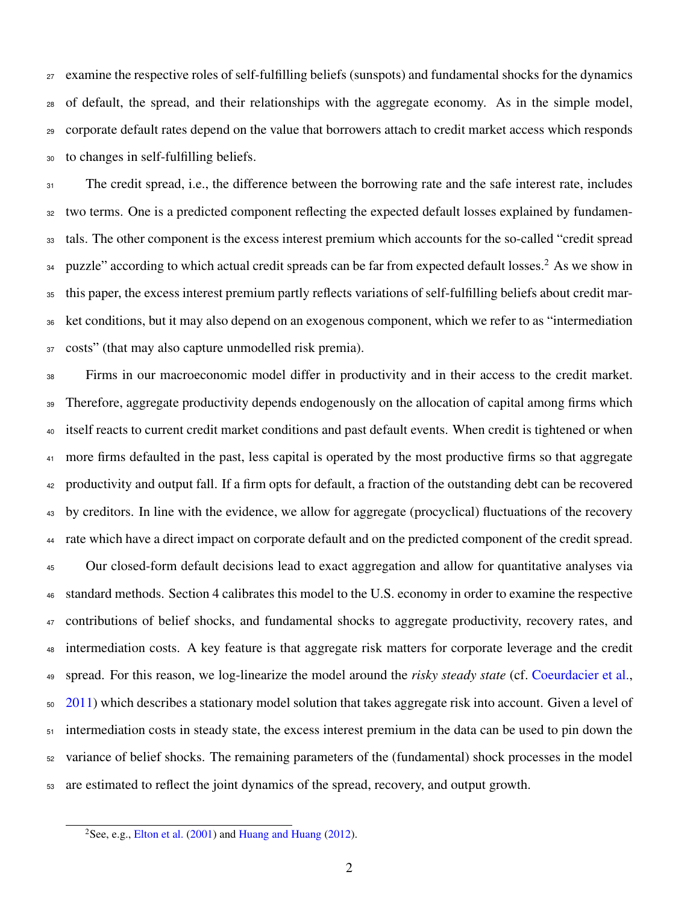examine the respective roles of self-fulfilling beliefs (sunspots) and fundamental shocks for the dynamics of default, the spread, and their relationships with the aggregate economy. As in the simple model, corporate default rates depend on the value that borrowers attach to credit market access which responds to changes in self-fulfilling beliefs.

 The credit spread, i.e., the difference between the borrowing rate and the safe interest rate, includes <sup>32</sup> two terms. One is a predicted component reflecting the expected default losses explained by fundamen- tals. The other component is the excess interest premium which accounts for the so-called "credit spread  $_{34}$  puzzle" according to which actual credit spreads can be far from expected default losses.<sup>[2](#page-0-0)</sup> As we show in this paper, the excess interest premium partly reflects variations of self-fulfilling beliefs about credit mar- ket conditions, but it may also depend on an exogenous component, which we refer to as "intermediation costs" (that may also capture unmodelled risk premia).

 Firms in our macroeconomic model differ in productivity and in their access to the credit market. <sup>39</sup> Therefore, aggregate productivity depends endogenously on the allocation of capital among firms which itself reacts to current credit market conditions and past default events. When credit is tightened or when <sup>41</sup> more firms defaulted in the past, less capital is operated by the most productive firms so that aggregate productivity and output fall. If a firm opts for default, a fraction of the outstanding debt can be recovered by creditors. In line with the evidence, we allow for aggregate (procyclical) fluctuations of the recovery rate which have a direct impact on corporate default and on the predicted component of the credit spread. Our closed-form default decisions lead to exact aggregation and allow for quantitative analyses via standard methods. Section [4](#page-17-0) calibrates this model to the U.S. economy in order to examine the respective 47 contributions of belief shocks, and fundamental shocks to aggregate productivity, recovery rates, and intermediation costs. A key feature is that aggregate risk matters for corporate leverage and the credit spread. For this reason, we log-linearize the model around the *risky steady state* (cf. [Coeurdacier et al.,](#page-29-2) [2011\)](#page-29-2) which describes a stationary model solution that takes aggregate risk into account. Given a level of intermediation costs in steady state, the excess interest premium in the data can be used to pin down the variance of belief shocks. The remaining parameters of the (fundamental) shock processes in the model are estimated to reflect the joint dynamics of the spread, recovery, and output growth.

<sup>&</sup>lt;sup>2</sup>See, e.g., [Elton et al.](#page-29-3) [\(2001\)](#page-29-3) and [Huang and Huang](#page-30-1) [\(2012\)](#page-30-1).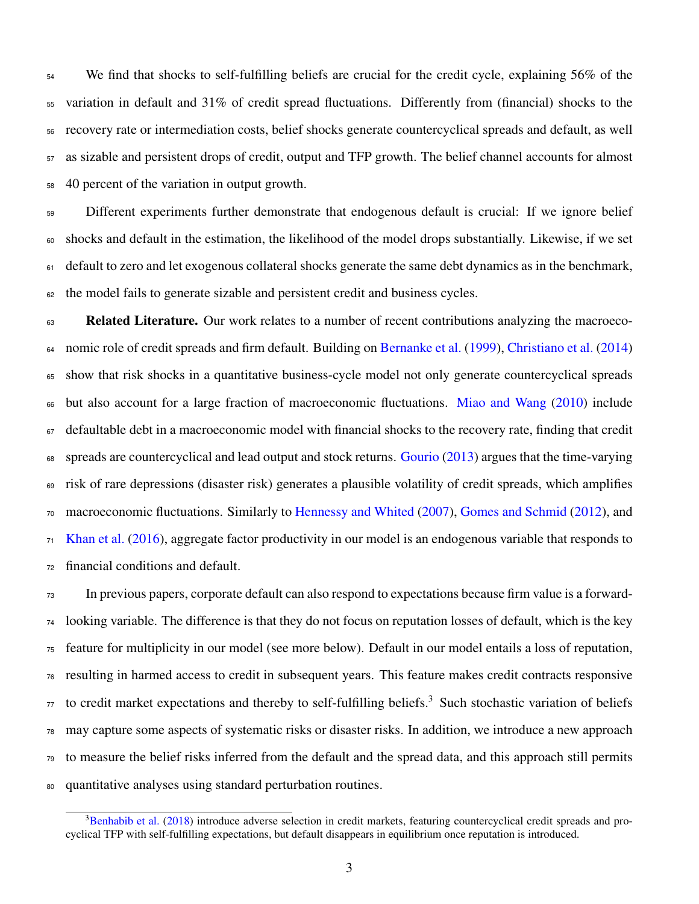We find that shocks to self-fulfilling beliefs are crucial for the credit cycle, explaining 56% of the variation in default and 31% of credit spread fluctuations. Differently from (financial) shocks to the recovery rate or intermediation costs, belief shocks generate countercyclical spreads and default, as well as sizable and persistent drops of credit, output and TFP growth. The belief channel accounts for almost 40 percent of the variation in output growth.

 Different experiments further demonstrate that endogenous default is crucial: If we ignore belief shocks and default in the estimation, the likelihood of the model drops substantially. Likewise, if we set default to zero and let exogenous collateral shocks generate the same debt dynamics as in the benchmark, the model fails to generate sizable and persistent credit and business cycles.

63 Related Literature. Our work relates to a number of recent contributions analyzing the macroeco- nomic role of credit spreads and firm default. Building on [Bernanke et al.](#page-29-4) [\(1999\)](#page-29-4), [Christiano et al.](#page-29-5) [\(2014\)](#page-29-5) show that risk shocks in a quantitative business-cycle model not only generate countercyclical spreads but also account for a large fraction of macroeconomic fluctuations. [Miao and Wang](#page-30-2) [\(2010\)](#page-30-2) include defaultable debt in a macroeconomic model with financial shocks to the recovery rate, finding that credit 68 spreads are countercyclical and lead output and stock returns. [Gourio](#page-30-3) [\(2013\)](#page-30-3) argues that the time-varying risk of rare depressions (disaster risk) generates a plausible volatility of credit spreads, which amplifies macroeconomic fluctuations. Similarly to [Hennessy and Whited](#page-30-4) [\(2007\)](#page-30-4), [Gomes and Schmid](#page-30-5) [\(2012\)](#page-30-5), and <sup>71</sup> [Khan et al.](#page-30-6) [\(2016\)](#page-30-6), aggregate factor productivity in our model is an endogenous variable that responds to financial conditions and default.

 In previous papers, corporate default can also respond to expectations because firm value is a forward- looking variable. The difference is that they do not focus on reputation losses of default, which is the key feature for multiplicity in our model (see more below). Default in our model entails a loss of reputation, resulting in harmed access to credit in subsequent years. This feature makes credit contracts responsive to credit market expectations and thereby to self-fulfilling beliefs.<sup>[3](#page-0-0)</sup> Such stochastic variation of beliefs may capture some aspects of systematic risks or disaster risks. In addition, we introduce a new approach to measure the belief risks inferred from the default and the spread data, and this approach still permits quantitative analyses using standard perturbation routines.

<sup>&</sup>lt;sup>3</sup>[Benhabib et al.](#page-28-0) [\(2018\)](#page-28-0) introduce adverse selection in credit markets, featuring countercyclical credit spreads and procyclical TFP with self-fulfilling expectations, but default disappears in equilibrium once reputation is introduced.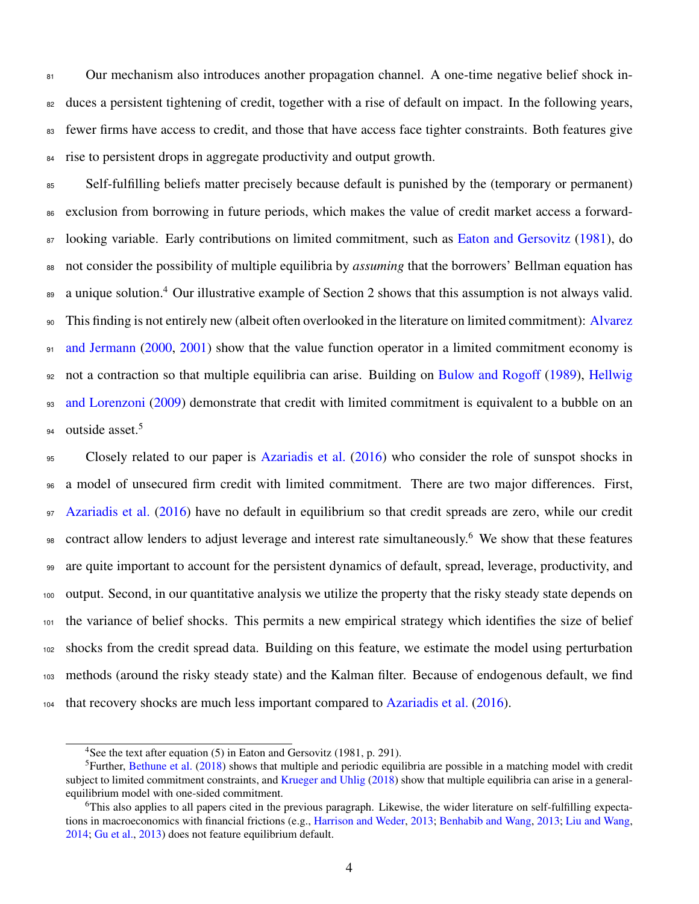81 Our mechanism also introduces another propagation channel. A one-time negative belief shock in-<sup>82</sup> duces a persistent tightening of credit, together with a rise of default on impact. In the following years, fewer firms have access to credit, and those that have access face tighter constraints. Both features give rise to persistent drops in aggregate productivity and output growth.

 Self-fulfilling beliefs matter precisely because default is punished by the (temporary or permanent) exclusion from borrowing in future periods, which makes the value of credit market access a forward-87 looking variable. Early contributions on limited commitment, such as [Eaton and Gersovitz](#page-29-6) [\(1981\)](#page-29-6), do not consider the possibility of multiple equilibria by *assuming* that the borrowers' Bellman equation has 89 a unique solution.<sup>[4](#page-0-0)</sup> Our illustrative example of Section [2](#page-5-0) shows that this assumption is not always valid. [T](#page-28-1)his finding is not entirely new (albeit often overlooked in the literature on limited commitment): [Alvarez](#page-28-1) [and Jermann](#page-28-1) [\(2000,](#page-28-1) [2001\)](#page-28-2) show that the value function operator in a limited commitment economy is [n](#page-30-7)ot a contraction so that multiple equilibria can arise. Building on [Bulow and Rogoff](#page-29-7) [\(1989\)](#page-29-7), [Hellwig](#page-30-7) [and Lorenzoni](#page-30-7) [\(2009\)](#page-30-7) demonstrate that credit with limited commitment is equivalent to a bubble on an outside asset.<sup>[5](#page-0-0)</sup> 

 Closely related to our paper is [Azariadis et al.](#page-28-3) [\(2016\)](#page-28-3) who consider the role of sunspot shocks in a model of unsecured firm credit with limited commitment. There are two major differences. First, [Azariadis et al.](#page-28-3) [\(2016\)](#page-28-3) have no default in equilibrium so that credit spreads are zero, while our credit 98 contract allow lenders to adjust leverage and interest rate simultaneously.<sup>[6](#page-0-0)</sup> We show that these features are quite important to account for the persistent dynamics of default, spread, leverage, productivity, and output. Second, in our quantitative analysis we utilize the property that the risky steady state depends on the variance of belief shocks. This permits a new empirical strategy which identifies the size of belief shocks from the credit spread data. Building on this feature, we estimate the model using perturbation methods (around the risky steady state) and the Kalman filter. Because of endogenous default, we find that recovery shocks are much less important compared to [Azariadis et al.](#page-28-3) [\(2016\)](#page-28-3).

<sup>&</sup>lt;sup>4</sup>See the text after equation (5) in Eaton and Gersovitz (1981, p. 291).

<sup>&</sup>lt;sup>5</sup>Further, [Bethune et al.](#page-29-8) [\(2018\)](#page-29-8) shows that multiple and periodic equilibria are possible in a matching model with credit subject to limited commitment constraints, and [Krueger and Uhlig](#page-30-8) [\(2018\)](#page-30-8) show that multiple equilibria can arise in a generalequilibrium model with one-sided commitment.

This also applies to all papers cited in the previous paragraph. Likewise, the wider literature on self-fulfilling expectations in macroeconomics with financial frictions (e.g., [Harrison and Weder,](#page-30-9) [2013;](#page-30-9) [Benhabib and Wang,](#page-29-9) [2013;](#page-29-9) [Liu and Wang,](#page-30-10) [2014;](#page-30-10) [Gu et al.,](#page-30-11) [2013\)](#page-30-11) does not feature equilibrium default.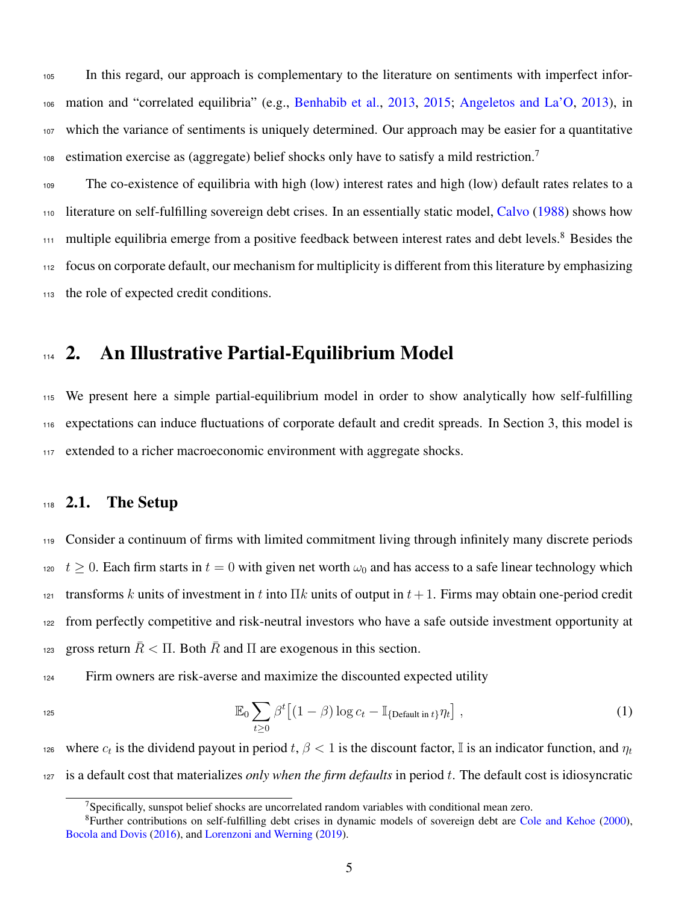<sup>105</sup> In this regard, our approach is complementary to the literature on sentiments with imperfect infor-<sup>106</sup> mation and "correlated equilibria" (e.g., [Benhabib et al.,](#page-29-10) [2013,](#page-29-10) [2015;](#page-29-11) [Angeletos and La'O,](#page-28-4) [2013\)](#page-28-4), in <sup>107</sup> which the variance of sentiments is uniquely determined. Our approach may be easier for a quantitative estimation exercise as (aggregate) belief shocks only have to satisfy a mild restriction.<sup>[7](#page-0-0)</sup> 108

 The co-existence of equilibria with high (low) interest rates and high (low) default rates relates to a <sup>110</sup> literature on self-fulfilling sovereign debt crises. In an essentially static model, [Calvo](#page-29-12) [\(1988\)](#page-29-12) shows how multiple equilibria emerge from a positive feedback between interest rates and debt levels.<sup>[8](#page-0-0)</sup> Besides the focus on corporate default, our mechanism for multiplicity is different from this literature by emphasizing the role of expected credit conditions.

# <span id="page-5-0"></span>114 2. An Illustrative Partial-Equilibrium Model

<sup>115</sup> We present here a simple partial-equilibrium model in order to show analytically how self-fulfilling <sup>116</sup> expectations can induce fluctuations of corporate default and credit spreads. In Section [3,](#page-9-0) this model is <sup>117</sup> extended to a richer macroeconomic environment with aggregate shocks.

#### $118$  2.1. The Setup

<sup>119</sup> Consider a continuum of firms with limited commitment living through infinitely many discrete periods 120  $t > 0$ . Each firm starts in  $t = 0$  with given net worth  $\omega_0$  and has access to a safe linear technology which 121 transforms k units of investment in t into Πk units of output in  $t + 1$ . Firms may obtain one-period credit <sup>122</sup> from perfectly competitive and risk-neutral investors who have a safe outside investment opportunity at gross return  $\overline{R}$  <  $\Pi$ . Both  $\overline{R}$  and  $\Pi$  are exogenous in this section.

<sup>124</sup> Firm owners are risk-averse and maximize the discounted expected utility

$$
\mathbb{E}_0 \sum_{t \ge 0} \beta^t \left[ (1 - \beta) \log c_t - \mathbb{I}_{\{\text{Default in } t\}} \eta_t \right],\tag{1}
$$

where  $c_t$  is the dividend payout in period  $t, \beta < 1$  is the discount factor, I is an indicator function, and  $\eta_t$ 126 <sup>127</sup> is a default cost that materializes *only when the firm defaults* in period t. The default cost is idiosyncratic

<span id="page-5-1"></span><sup>&</sup>lt;sup>7</sup>Specifically, sunspot belief shocks are uncorrelated random variables with conditional mean zero.

<sup>8</sup>Further contributions on self-fulfilling debt crises in dynamic models of sovereign debt are [Cole and Kehoe](#page-29-13) [\(2000\)](#page-29-13), [Bocola and Dovis](#page-29-14) [\(2016\)](#page-29-14), and [Lorenzoni and Werning](#page-30-12) [\(2019\)](#page-30-12).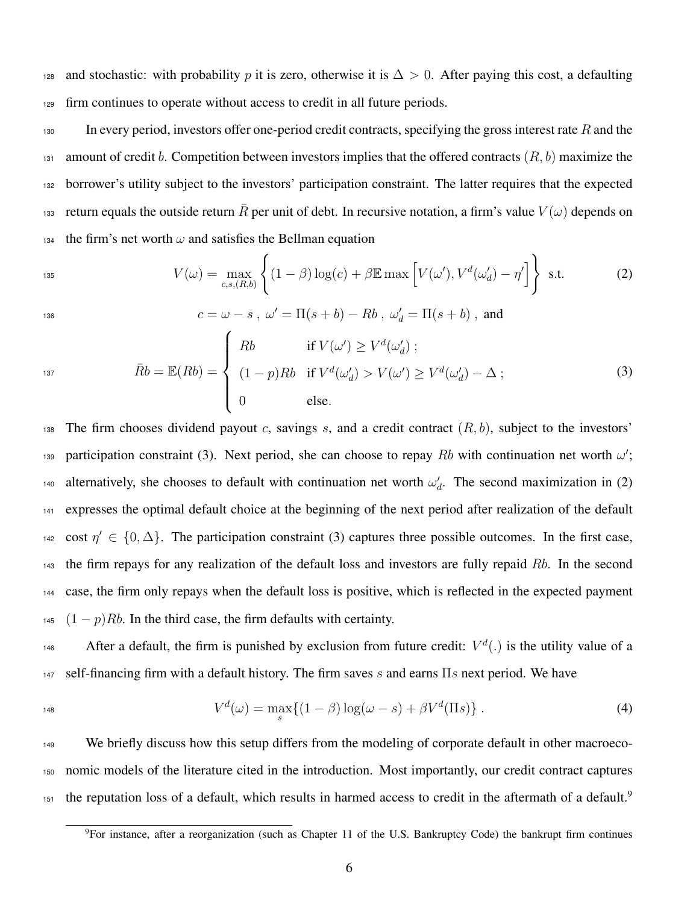128 and stochastic: with probability p it is zero, otherwise it is  $\Delta > 0$ . After paying this cost, a defaulting <sup>129</sup> firm continues to operate without access to credit in all future periods.

 $130$  In every period, investors offer one-period credit contracts, specifying the gross interest rate R and the 131 amount of credit b. Competition between investors implies that the offered contracts  $(R, b)$  maximize the <sup>132</sup> borrower's utility subject to the investors' participation constraint. The latter requires that the expected return equals the outside return  $\bar{R}$  per unit of debt. In recursive notation, a firm's value  $V(\omega)$  depends on 134 the firm's net worth  $\omega$  and satisfies the Bellman equation

<span id="page-6-1"></span>
$$
V(\omega) = \max_{c,s,(R,b)} \left\{ (1-\beta) \log(c) + \beta \mathbb{E} \max \left[ V(\omega'), V^d(\omega'_d) - \eta' \right] \right\} \text{ s.t. } (2)
$$

136  $c = \omega - s$  ,  $\omega' = \Pi(s + b) - Rb$  ,  $\omega'_d = \Pi(s + b)$  , and

<span id="page-6-0"></span>
$$
\bar{R}b = \mathbb{E}(Rb) = \begin{cases}\nRb & \text{if } V(\omega') \ge V^d(\omega'_d) ; \\
(1-p)Rb & \text{if } V^d(\omega'_d) > V(\omega') \ge V^d(\omega'_d) - \Delta ; \\
0 & \text{else.} \n\end{cases}
$$
\n(3)

138 The firm chooses dividend payout c, savings s, and a credit contract  $(R, b)$ , subject to the investors' 139 participation constraint [\(3\).](#page-6-0) Next period, she can choose to repay Rb with continuation net worth  $\omega'$ ; alternatively, she chooses to default with continuation net worth  $\omega_d'$ . The second maximization in [\(2\)](#page-6-1) <sup>141</sup> expresses the optimal default choice at the beginning of the next period after realization of the default 142 cost  $\eta' \in \{0, \Delta\}$ . The participation constraint [\(3\)](#page-6-0) captures three possible outcomes. In the first case, <sup>143</sup> the firm repays for any realization of the default loss and investors are fully repaid Rb. In the second <sup>144</sup> case, the firm only repays when the default loss is positive, which is reflected in the expected payment  $145$   $(1-p)Rb$ . In the third case, the firm defaults with certainty.

<sup>146</sup> After a default, the firm is punished by exclusion from future credit:  $V^d(.)$  is the utility value of a 147 self-financing firm with a default history. The firm saves s and earns  $\Pi s$  next period. We have

$$
V^d(\omega) = \max_s \{ (1 - \beta) \log(\omega - s) + \beta V^d(\Pi s) \} . \tag{4}
$$

<sup>149</sup> We briefly discuss how this setup differs from the modeling of corporate default in other macroeco-<sup>150</sup> nomic models of the literature cited in the introduction. Most importantly, our credit contract captures the reputation loss of a default, which results in harmed access to credit in the aftermath of a default.<sup>[9](#page-0-0)</sup> 151

<span id="page-6-2"></span><sup>9</sup>For instance, after a reorganization (such as Chapter 11 of the U.S. Bankruptcy Code) the bankrupt firm continues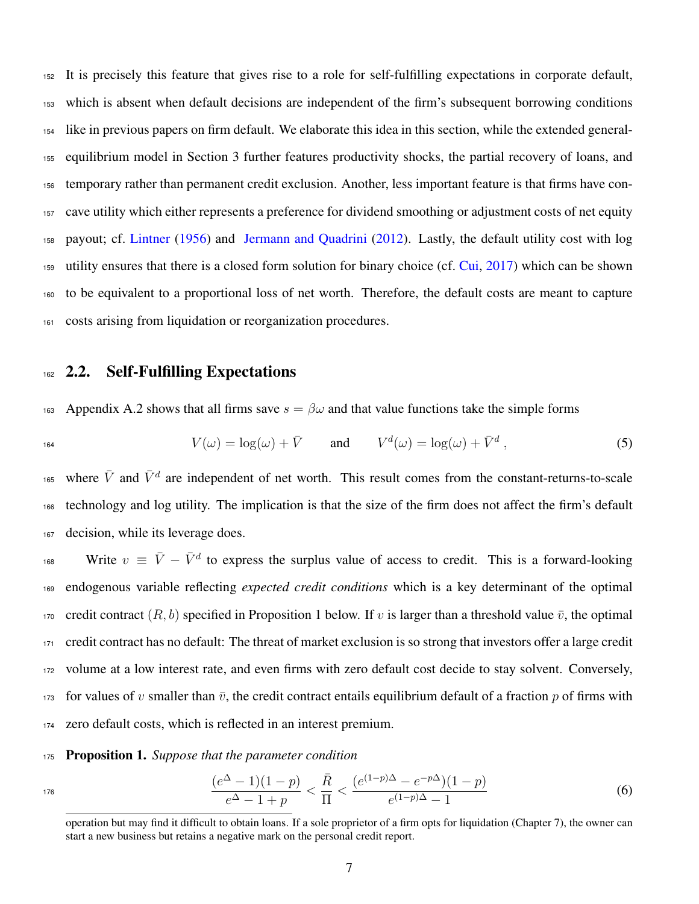It is precisely this feature that gives rise to a role for self-fulfilling expectations in corporate default, which is absent when default decisions are independent of the firm's subsequent borrowing conditions like in previous papers on firm default. We elaborate this idea in this section, while the extended general- equilibrium model in Section [3](#page-9-0) further features productivity shocks, the partial recovery of loans, and temporary rather than permanent credit exclusion. Another, less important feature is that firms have con- cave utility which either represents a preference for dividend smoothing or adjustment costs of net equity payout; cf. [Lintner](#page-30-13) [\(1956\)](#page-30-13) and [Jermann and Quadrini](#page-30-14) [\(2012\)](#page-30-14). Lastly, the default utility cost with log utility ensures that there is a closed form solution for binary choice (cf. [Cui,](#page-29-15) [2017\)](#page-29-15) which can be shown to be equivalent to a proportional loss of net worth. Therefore, the default costs are meant to capture costs arising from liquidation or reorganization procedures.

### 162 2.2. Self-Fulfilling Expectations

163 Appendix A.2 shows that all firms save  $s = \beta \omega$  and that value functions take the simple forms

<span id="page-7-1"></span>
$$
V(\omega) = \log(\omega) + \bar{V} \quad \text{and} \quad V^d(\omega) = \log(\omega) + \bar{V}^d \,, \tag{5}
$$

165 where  $\bar{V}$  and  $\bar{V}^d$  are independent of net worth. This result comes from the constant-returns-to-scale <sup>166</sup> technology and log utility. The implication is that the size of the firm does not affect the firm's default <sup>167</sup> decision, while its leverage does.

168 Write  $v \equiv \bar{V} - \bar{V}^d$  to express the surplus value of access to credit. This is a forward-looking <sup>169</sup> endogenous variable reflecting *expected credit conditions* which is a key determinant of the optimal 170 credit contract  $(R, b)$  specified in Proposition 1 below. If v is larger than a threshold value  $\bar{v}$ , the optimal <sup>171</sup> credit contract has no default: The threat of market exclusion is so strong that investors offer a large credit <sup>172</sup> volume at a low interest rate, and even firms with zero default cost decide to stay solvent. Conversely, 173 for values of v smaller than  $\bar{v}$ , the credit contract entails equilibrium default of a fraction p of firms with <sup>174</sup> zero default costs, which is reflected in an interest premium.

#### <sup>175</sup> Proposition 1. *Suppose that the parameter condition*

$$
\frac{(e^{\Delta}-1)(1-p)}{e^{\Delta}-1+p} < \frac{\bar{R}}{\Pi} < \frac{(e^{(1-p)\Delta}-e^{-p\Delta})(1-p)}{e^{(1-p)\Delta}-1} \tag{6}
$$

<span id="page-7-0"></span>operation but may find it difficult to obtain loans. If a sole proprietor of a firm opts for liquidation (Chapter 7), the owner can start a new business but retains a negative mark on the personal credit report.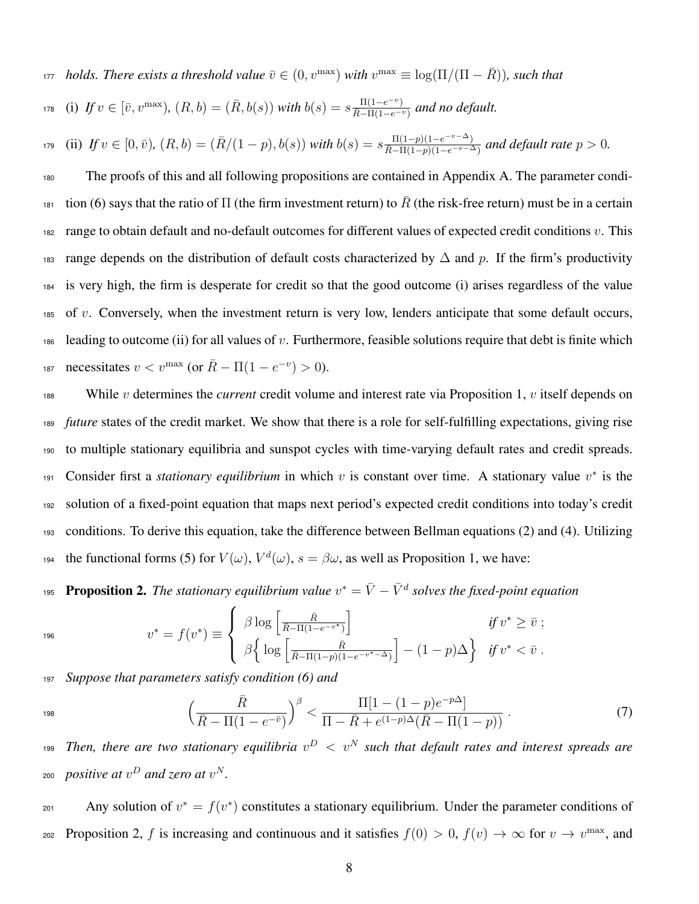*holds. There exists a threshold value*  $\bar{v} \in (0, v^{\max})$  *with*  $v^{\max} \equiv \log(\Pi/(\Pi - \bar{R}))$ *, such that*  $h_{178}$  (i)  $If v \in [\bar{v}, v^{\max}]$ ,  $(R, b) = (\bar{R}, b(s))$  with  $b(s) = s \frac{\Pi(1 - e^{-v})}{\bar{R} - \Pi(1 - e^{-v})}$  and no default.

(ii) If  $v \in [0, \bar{v})$ ,  $(R, b) = (\bar{R}/(1-p), b(s))$  with  $b(s) = s \frac{\Pi(1-p)(1-e^{-v-\Delta})}{\overline{R}-\Pi(1-p)(1-e^{-v-\Delta})}$ 179 (ii) If  $v \in [0, \bar{v})$ ,  $(R, b) = (R/(1-p), b(s))$  with  $b(s) = s \frac{\Pi(1-p)(1-e^{-\nu} - \Delta)}{\bar{R} - \Pi(1-p)(1-e^{-\nu} - \Delta)}$  and default rate  $p > 0$ .

<sup>180</sup> The proofs of this and all following propositions are contained in Appendix A. The parameter condi-tion [\(6\)](#page-7-0) says that the ratio of  $\Pi$  (the firm investment return) to  $\bar{R}$  (the risk-free return) must be in a certain 182 range to obtain default and no-default outcomes for different values of expected credit conditions  $v$ . This 183 range depends on the distribution of default costs characterized by  $\Delta$  and p. If the firm's productivity <sup>184</sup> is very high, the firm is desperate for credit so that the good outcome (i) arises regardless of the value  $185$  of v. Conversely, when the investment return is very low, lenders anticipate that some default occurs, 186 leading to outcome (ii) for all values of v. Furthermore, feasible solutions require that debt is finite which necessitates  $v < v^{\max}$  (or  $\bar{R} - \Pi(1 - e^{-v}) > 0$ ).

 While v determines the *current* credit volume and interest rate via Proposition 1, v itself depends on *future* states of the credit market. We show that there is a role for self-fulfilling expectations, giving rise to multiple stationary equilibria and sunspot cycles with time-varying default rates and credit spreads. 191 Consider first a *stationary equilibrium* in which v is constant over time. A stationary value  $v^*$  is the solution of a fixed-point equation that maps next period's expected credit conditions into today's credit conditions. To derive this equation, take the difference between Bellman equations [\(2\)](#page-6-1) and [\(4\).](#page-6-2) Utilizing 194 the functional forms [\(5\)](#page-7-1) for  $V(\omega)$ ,  $V^d(\omega)$ ,  $s = \beta \omega$ , as well as Proposition 1, we have:

<span id="page-8-0"></span>195 **Proposition 2.** The stationary equilibrium value  $v^* = \bar{V} - \bar{V}^d$  solves the fixed-point equation

$$
\begin{array}{c} 196 \end{array}
$$

<span id="page-8-1"></span>
$$
v^* = f(v^*) \equiv \begin{cases} \beta \log \left[ \frac{\bar{R}}{\bar{R} - \Pi(1 - e^{-v^*})} \right] & \text{if } v^* \ge \bar{v} ; \\ \beta \left\{ \log \left[ \frac{\bar{R}}{\bar{R} - \Pi(1 - p)(1 - e^{-v^*} - \Delta)} \right] - (1 - p)\Delta \right\} & \text{if } v^* < \bar{v} . \end{cases}
$$

<sup>197</sup> *Suppose that parameters satisfy condition [\(6\)](#page-7-0) and*

$$
\left(\frac{\bar{R}}{\bar{R}-\Pi(1-e^{-\bar{v}})}\right)^{\beta} < \frac{\Pi[1-(1-p)e^{-p\Delta}]}{\Pi-\bar{R}+e^{(1-p)\Delta}(\bar{R}-\Pi(1-p))} \,. \tag{7}
$$

199 Then, there are two stationary equilibria  $v^D~<~v^N$  such that default rates and interest spreads are  $_{200}$  *positive at*  $v^D$  *and zero at*  $v^N$ .

201 Any solution of  $v^* = f(v^*)$  constitutes a stationary equilibrium. Under the parameter conditions of Proposition 2, f is increasing and continuous and it satisfies  $f(0) > 0$ ,  $f(v) \to \infty$  for  $v \to v^{\text{max}}$ , and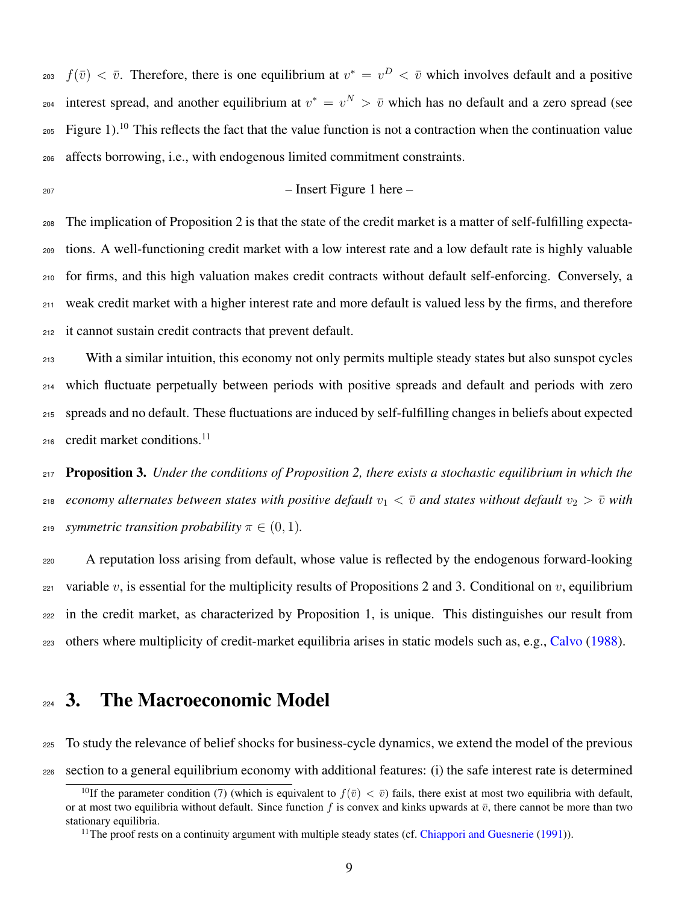<sub>203</sub>  $f(\bar{v}) < \bar{v}$ . Therefore, there is one equilibrium at  $v^* = v^D < \bar{v}$  which involves default and a positive 204 interest spread, and another equilibrium at  $v^* = v^N > \bar{v}$  which has no default and a zero spread (see  $_{205}$  Figure [1\)](#page-36-0).<sup>[10](#page-0-0)</sup> This reflects the fact that the value function is not a contraction when the continuation value affects borrowing, i.e., with endogenous limited commitment constraints.

– Insert Figure 1 here –

 The implication of Proposition 2 is that the state of the credit market is a matter of self-fulfilling expecta- tions. A well-functioning credit market with a low interest rate and a low default rate is highly valuable for firms, and this high valuation makes credit contracts without default self-enforcing. Conversely, a weak credit market with a higher interest rate and more default is valued less by the firms, and therefore it cannot sustain credit contracts that prevent default.

 With a similar intuition, this economy not only permits multiple steady states but also sunspot cycles which fluctuate perpetually between periods with positive spreads and default and periods with zero spreads and no default. These fluctuations are induced by self-fulfilling changes in beliefs about expected credit market conditions.[11](#page-0-0) 

 Proposition 3. *Under the conditions of [Proposition 2,](#page-8-0) there exists a stochastic equilibrium in which the economy alternates between states with positive default*  $v_1 < \bar{v}$  *and states without default*  $v_2 > \bar{v}$  *with z*<sup>19</sup> *symmetric transition probability*  $\pi \in (0, 1)$ *.* 

 A reputation loss arising from default, whose value is reflected by the endogenous forward-looking 221 variable v, is essential for the multiplicity results of Propositions 2 and 3. Conditional on v, equilibrium in the credit market, as characterized by Proposition 1, is unique. This distinguishes our result from others where multiplicity of credit-market equilibria arises in static models such as, e.g., [Calvo](#page-29-12) [\(1988\)](#page-29-12).

# <span id="page-9-0"></span>224 3. The Macroeconomic Model

To study the relevance of belief shocks for business-cycle dynamics, we extend the model of the previous

section to a general equilibrium economy with additional features: (i) the safe interest rate is determined

<sup>&</sup>lt;sup>10</sup>If the parameter condition [\(7\)](#page-8-1) (which is equivalent to  $f(\bar{v}) < \bar{v}$ ) fails, there exist at most two equilibria with default, or at most two equilibria without default. Since function f is convex and kinks upwards at  $\bar{v}$ , there cannot be more than two stationary equilibria.

<sup>&</sup>lt;sup>11</sup>The proof rests on a continuity argument with multiple steady states (cf. [Chiappori and Guesnerie](#page-29-16) [\(1991\)](#page-29-16)).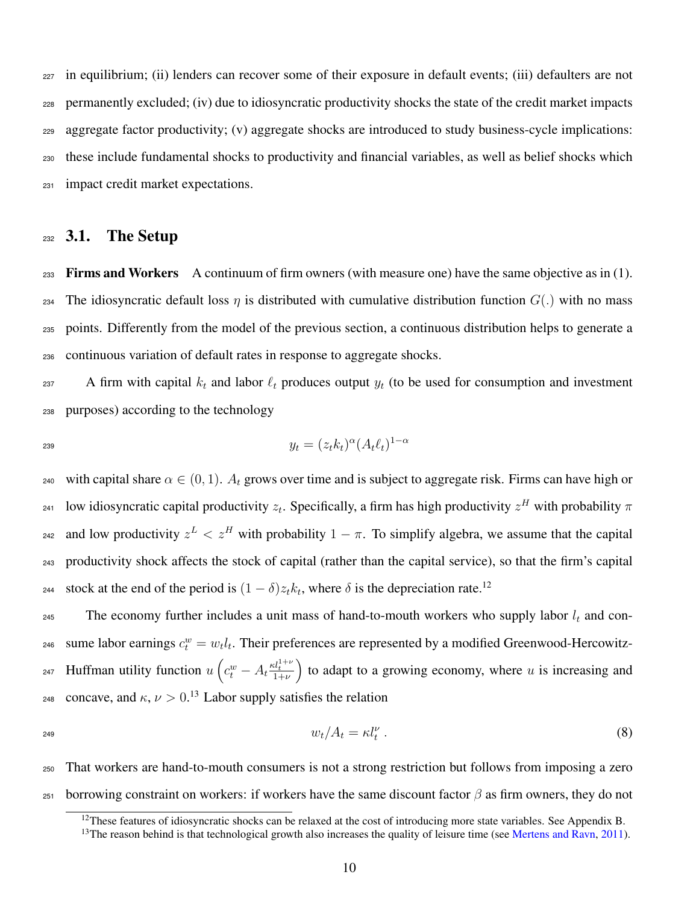in equilibrium; (ii) lenders can recover some of their exposure in default events; (iii) defaulters are not permanently excluded; (iv) due to idiosyncratic productivity shocks the state of the credit market impacts aggregate factor productivity; (v) aggregate shocks are introduced to study business-cycle implications: these include fundamental shocks to productivity and financial variables, as well as belief shocks which impact credit market expectations.

### $232$  3.1. The Setup

 $_{233}$  Firms and Workers A continuum of firm owners (with measure one) have the same objective as in [\(1\).](#page-5-1) 234 The idiosyncratic default loss  $\eta$  is distributed with cumulative distribution function  $G(.)$  with no mass <sup>235</sup> points. Differently from the model of the previous section, a continuous distribution helps to generate a <sup>236</sup> continuous variation of default rates in response to aggregate shocks.

237 A firm with capital  $k_t$  and labor  $\ell_t$  produces output  $y_t$  (to be used for consumption and investment <sup>238</sup> purposes) according to the technology

$$
y_t = (z_t k_t)^{\alpha} (A_t \ell_t)^{1-\alpha}
$$

240 with capital share  $\alpha \in (0, 1)$ .  $A_t$  grows over time and is subject to aggregate risk. Firms can have high or <sup>241</sup> low idiosyncratic capital productivity  $z_t$ . Specifically, a firm has high productivity  $z^H$  with probability  $\pi$ <sup>242</sup> and low productivity  $z^L < z^H$  with probability  $1 - \pi$ . To simplify algebra, we assume that the capital <sup>243</sup> productivity shock affects the stock of capital (rather than the capital service), so that the firm's capital stock at the end of the period is  $(1 - \delta)z_t k_t$ , where  $\delta$  is the depreciation rate.<sup>[12](#page-0-0)</sup> 244

245 The economy further includes a unit mass of hand-to-mouth workers who supply labor  $l_t$  and con-<sup>246</sup> sume labor earnings  $c_t^w = w_t l_t$ . Their preferences are represented by a modified Greenwood-Hercowitz-247 Huffman utility function  $u\left(c_t^w - A_t \frac{\kappa l_t^{1+\nu}}{1+\nu}\right)$  to adapt to a growing economy, where u is increasing and <sup>248</sup> concave, and  $κ, ν > 0.13$  $κ, ν > 0.13$  Labor supply satisfies the relation

$$
w_t/A_t = \kappa l_t^{\nu} \tag{8}
$$

<sup>250</sup> That workers are hand-to-mouth consumers is not a strong restriction but follows from imposing a zero <sup>251</sup> borrowing constraint on workers: if workers have the same discount factor β as firm owners, they do not

<span id="page-10-0"></span> $12$ These features of idiosyncratic shocks can be relaxed at the cost of introducing more state variables. See Appendix B.

<sup>&</sup>lt;sup>13</sup>The reason behind is that technological growth also increases the quality of leisure time (see [Mertens and Ravn,](#page-30-15) [2011\)](#page-30-15).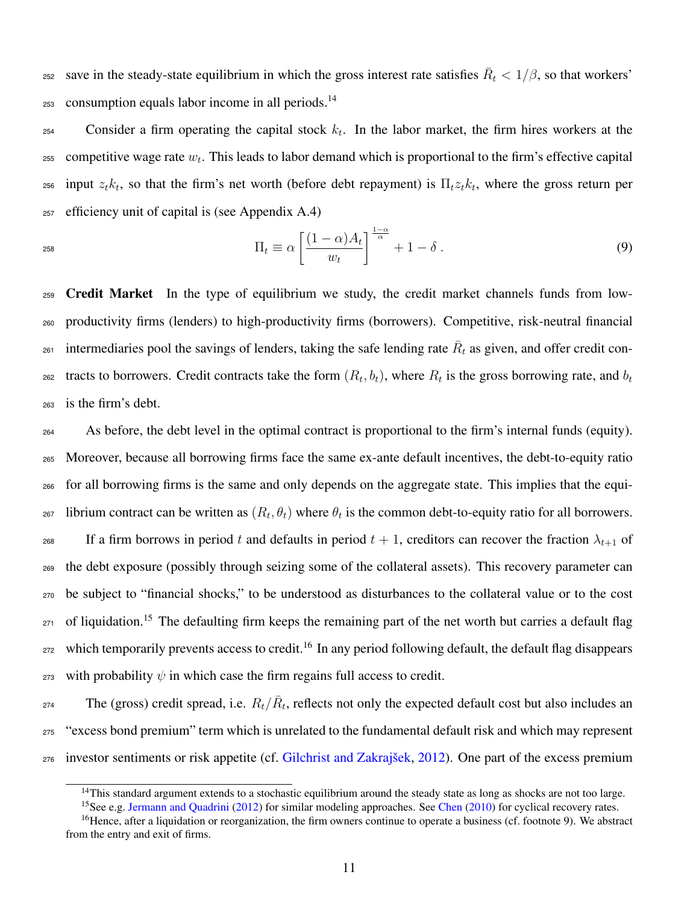save in the steady-state equilibrium in which the gross interest rate satisfies  $\bar{R}_t < 1/\beta$ , so that workers' consumption equals labor income in all periods.[14](#page-0-0) 253

 $254$  Consider a firm operating the capital stock  $k_t$ . In the labor market, the firm hires workers at the  $_{255}$  competitive wage rate  $w_t$ . This leads to labor demand which is proportional to the firm's effective capital  $_{256}$  input  $z_t k_t$ , so that the firm's net worth (before debt repayment) is  $\Pi_t z_t k_t$ , where the gross return per <sup>257</sup> efficiency unit of capital is (see Appendix A.4)

<span id="page-11-0"></span>
$$
\Pi_t \equiv \alpha \left[ \frac{(1-\alpha)A_t}{w_t} \right]^{\frac{1-\alpha}{\alpha}} + 1 - \delta \ . \tag{9}
$$

<sup>259</sup> Credit Market In the type of equilibrium we study, the credit market channels funds from low-<sup>260</sup> productivity firms (lenders) to high-productivity firms (borrowers). Competitive, risk-neutral financial intermediaries pool the savings of lenders, taking the safe lending rate  $\bar{R}_t$  as given, and offer credit contracts to borrowers. Credit contracts take the form  $(R_t, b_t)$ , where  $R_t$  is the gross borrowing rate, and  $b_t$ 262 <sup>263</sup> is the firm's debt.

<sup>264</sup> As before, the debt level in the optimal contract is proportional to the firm's internal funds (equity). <sup>265</sup> Moreover, because all borrowing firms face the same ex-ante default incentives, the debt-to-equity ratio <sup>266</sup> for all borrowing firms is the same and only depends on the aggregate state. This implies that the equi- $_{267}$  librium contract can be written as  $(R_t, \theta_t)$  where  $\theta_t$  is the common debt-to-equity ratio for all borrowers. 268 If a firm borrows in period t and defaults in period  $t + 1$ , creditors can recover the fraction  $\lambda_{t+1}$  of <sup>269</sup> the debt exposure (possibly through seizing some of the collateral assets). This recovery parameter can <sup>270</sup> be subject to "financial shocks," to be understood as disturbances to the collateral value or to the cost <sub>271</sub> of liquidation.<sup>[15](#page-0-0)</sup> The defaulting firm keeps the remaining part of the net worth but carries a default flag  $272$  which temporarily prevents access to credit.<sup>[16](#page-0-0)</sup> In any period following default, the default flag disappears 273 with probability  $\psi$  in which case the firm regains full access to credit.

274 The (gross) credit spread, i.e.  $R_t/\bar{R}_t$ , reflects not only the expected default cost but also includes an <sup>275</sup> "excess bond premium" term which is unrelated to the fundamental default risk and which may represent <sup>276</sup> investor sentiments or risk appetite (cf. [Gilchrist and Zakrajšek,](#page-30-0) [2012\)](#page-30-0). One part of the excess premium

<sup>&</sup>lt;sup>14</sup>This standard argument extends to a stochastic equilibrium around the steady state as long as shocks are not too large.

<sup>&</sup>lt;sup>15</sup>See e.g. [Jermann and Quadrini](#page-30-14) [\(2012\)](#page-30-14) for similar modeling approaches. See [Chen](#page-29-17) [\(2010\)](#page-29-17) for cyclical recovery rates.

<sup>&</sup>lt;sup>16</sup>Hence, after a liquidation or reorganization, the firm owners continue to operate a business (cf. footnote [9\)](#page-6-2). We abstract from the entry and exit of firms.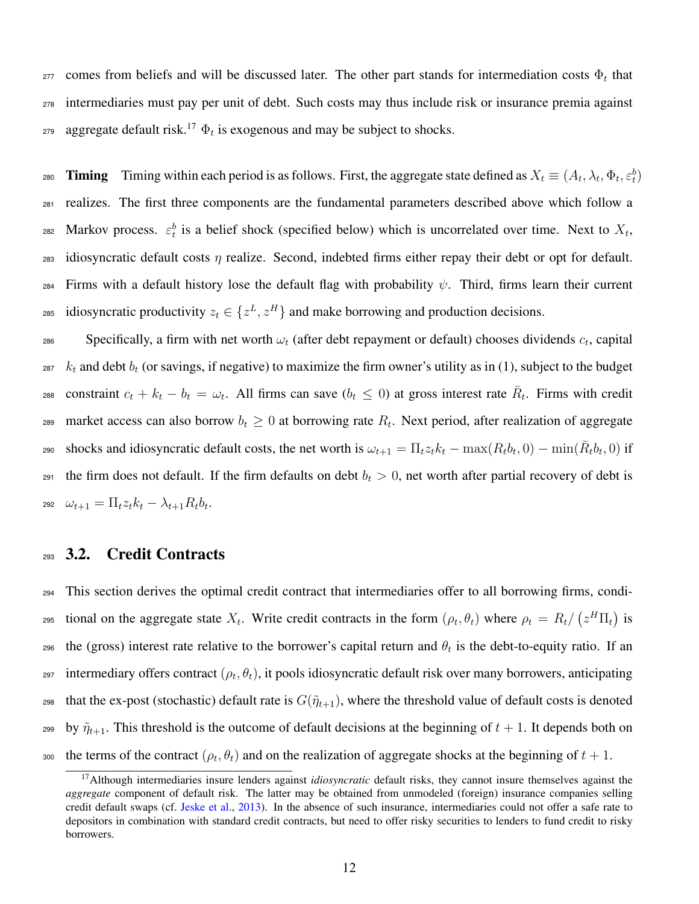$277$  comes from beliefs and will be discussed later. The other part stands for intermediation costs  $Φ_t$  that <sup>278</sup> intermediaries must pay per unit of debt. Such costs may thus include risk or insurance premia against  $_{279}$  aggregate default risk.<sup>[17](#page-0-0)</sup>  $\Phi_t$  is exogenous and may be subject to shocks.

280 **Timing** Timing within each period is as follows. First, the aggregate state defined as  $X_t \equiv (A_t, \lambda_t, \Phi_t, \varepsilon_t^b)$ <sup>281</sup> realizes. The first three components are the fundamental parameters described above which follow a 282 Markov process.  $\varepsilon_t^b$  is a belief shock (specified below) which is uncorrelated over time. Next to  $X_t$ , 283 idiosyncratic default costs  $\eta$  realize. Second, indebted firms either repay their debt or opt for default. 284 Firms with a default history lose the default flag with probability  $\psi$ . Third, firms learn their current 285 idiosyncratic productivity  $z_t \in \{z^L, z^H\}$  and make borrowing and production decisions.

 $S$ pecifically, a firm with net worth  $\omega_t$  (after debt repayment or default) chooses dividends  $c_t$ , capital  $287$  k<sub>t</sub> and debt  $b_t$  (or savings, if negative) to maximize the firm owner's utility as in [\(1\),](#page-5-1) subject to the budget constraint  $c_t + k_t - b_t = \omega_t$ . All firms can save  $(b_t \le 0)$  at gross interest rate  $\overline{R}_t$ . Firms with credit 289 market access can also borrow  $b_t \geq 0$  at borrowing rate  $R_t$ . Next period, after realization of aggregate shocks and idiosyncratic default costs, the net worth is  $\omega_{t+1} = \prod_t z_t k_t - \max(R_t b_t, 0) - \min(\bar{R}_t b_t, 0)$  if 291 the firm does not default. If the firm defaults on debt  $b_t > 0$ , net worth after partial recovery of debt is 292  $\omega_{t+1} = \prod_t z_t k_t - \lambda_{t+1} R_t b_t.$ 

### <sup>293</sup> 3.2. Credit Contracts

<sup>294</sup> This section derives the optimal credit contract that intermediaries offer to all borrowing firms, condi-295 tional on the aggregate state  $X_t$ . Write credit contracts in the form  $(\rho_t, \theta_t)$  where  $\rho_t = R_t / (z^H \Pi_t)$  is 296 the (gross) interest rate relative to the borrower's capital return and  $\theta_t$  is the debt-to-equity ratio. If an 297 intermediary offers contract  $(\rho_t, \theta_t)$ , it pools idiosyncratic default risk over many borrowers, anticipating 298 that the ex-post (stochastic) default rate is  $G(\tilde{\eta}_{t+1})$ , where the threshold value of default costs is denoted 299 by  $\tilde{\eta}_{t+1}$ . This threshold is the outcome of default decisions at the beginning of  $t + 1$ . It depends both on 300 the terms of the contract  $(\rho_t, \theta_t)$  and on the realization of aggregate shocks at the beginning of  $t + 1$ .

<sup>17</sup>Although intermediaries insure lenders against *idiosyncratic* default risks, they cannot insure themselves against the *aggregate* component of default risk. The latter may be obtained from unmodeled (foreign) insurance companies selling credit default swaps (cf. [Jeske et al.,](#page-30-16) [2013\)](#page-30-16). In the absence of such insurance, intermediaries could not offer a safe rate to depositors in combination with standard credit contracts, but need to offer risky securities to lenders to fund credit to risky borrowers.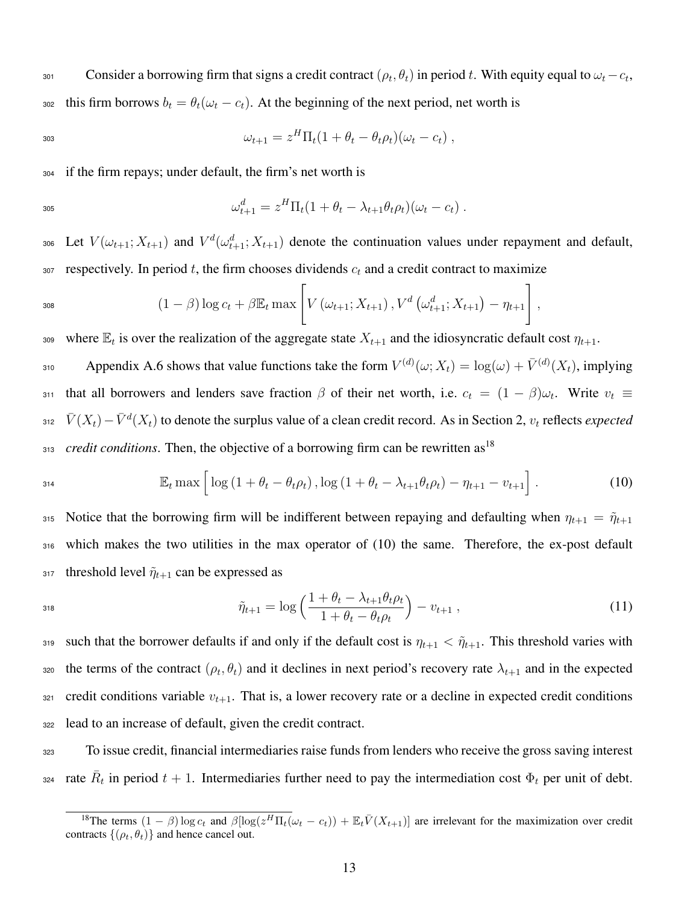sot Consider a borrowing firm that signs a credit contract  $(\rho_t, \theta_t)$  in period t. With equity equal to  $\omega_t - c_t$ , 302 this firm borrows  $b_t = \theta_t(\omega_t - c_t)$ . At the beginning of the next period, net worth is

$$
\omega_{t+1} = z^H \Pi_t (1 + \theta_t - \theta_t \rho_t)(\omega_t - c_t) ,
$$

<sup>304</sup> if the firm repays; under default, the firm's net worth is

$$
\omega_{t+1}^d = z^H \Pi_t (1 + \theta_t - \lambda_{t+1} \theta_t \rho_t)(\omega_t - c_t) .
$$

306 Let  $V(\omega_{t+1}; X_{t+1})$  and  $V^d(\omega_{t+1}^d; X_{t+1})$  denote the continuation values under repayment and default, 307 respectively. In period t, the firm chooses dividends  $c_t$  and a credit contract to maximize

$$
1 - \beta \log c_t + \beta \mathbb{E}_t \max \left[ V(\omega_{t+1}; X_{t+1}), V^d(\omega_{t+1}^d; X_{t+1}) - \eta_{t+1} \right],
$$

309 where  $\mathbb{E}_t$  is over the realization of the aggregate state  $X_{t+1}$  and the idiosyncratic default cost  $\eta_{t+1}$ .

310 Appendix A.6 shows that value functions take the form  $V^{(d)}(\omega;X_t) = \log(\omega) + \bar{V}^{(d)}(X_t)$ , implying 311 that all borrowers and lenders save fraction  $\beta$  of their net worth, i.e.  $c_t = (1 - \beta)\omega_t$ . Write  $v_t \equiv$  $\bar{V}(X_t) - \bar{V}^d(X_t)$  to denote the surplus value of a clean credit record. As in Section [2,](#page-5-0)  $v_t$  reflects *expected credit conditions*. Then, the objective of a borrowing firm can be rewritten as<sup>[18](#page-0-0)</sup> 313

<span id="page-13-0"></span>
$$
\mathbb{E}_{t} \max \left[ \log \left( 1 + \theta_{t} - \theta_{t} \rho_{t} \right), \log \left( 1 + \theta_{t} - \lambda_{t+1} \theta_{t} \rho_{t} \right) - \eta_{t+1} - v_{t+1} \right]. \tag{10}
$$

315 Notice that the borrowing firm will be indifferent between repaying and defaulting when  $\eta_{t+1} = \tilde{\eta}_{t+1}$ <sup>316</sup> which makes the two utilities in the max operator of [\(10\)](#page-13-0) the same. Therefore, the ex-post default 317 threshold level  $\tilde{\eta}_{t+1}$  can be expressed as

<span id="page-13-1"></span>318 
$$
\tilde{\eta}_{t+1} = \log \left( \frac{1 + \theta_t - \lambda_{t+1} \theta_t \rho_t}{1 + \theta_t - \theta_t \rho_t} \right) - v_{t+1} \,, \tag{11}
$$

319 such that the borrower defaults if and only if the default cost is  $\eta_{t+1} < \tilde{\eta}_{t+1}$ . This threshold varies with 320 the terms of the contract  $(\rho_t, \theta_t)$  and it declines in next period's recovery rate  $\lambda_{t+1}$  and in the expected 321 credit conditions variable  $v_{t+1}$ . That is, a lower recovery rate or a decline in expected credit conditions <sup>322</sup> lead to an increase of default, given the credit contract.

<sup>323</sup> To issue credit, financial intermediaries raise funds from lenders who receive the gross saving interest <sup>324</sup> rate  $\bar{R}_t$  in period  $t + 1$ . Intermediaries further need to pay the intermediation cost  $\Phi_t$  per unit of debt.

<sup>&</sup>lt;sup>18</sup>The terms  $(1 - \beta) \log c_t$  and  $\beta [\log(z^H \Pi_t(\omega_t - c_t)) + \mathbb{E}_t \bar{V}(X_{t+1})]$  are irrelevant for the maximization over credit contracts  $\{(\rho_t, \theta_t)\}\$ and hence cancel out.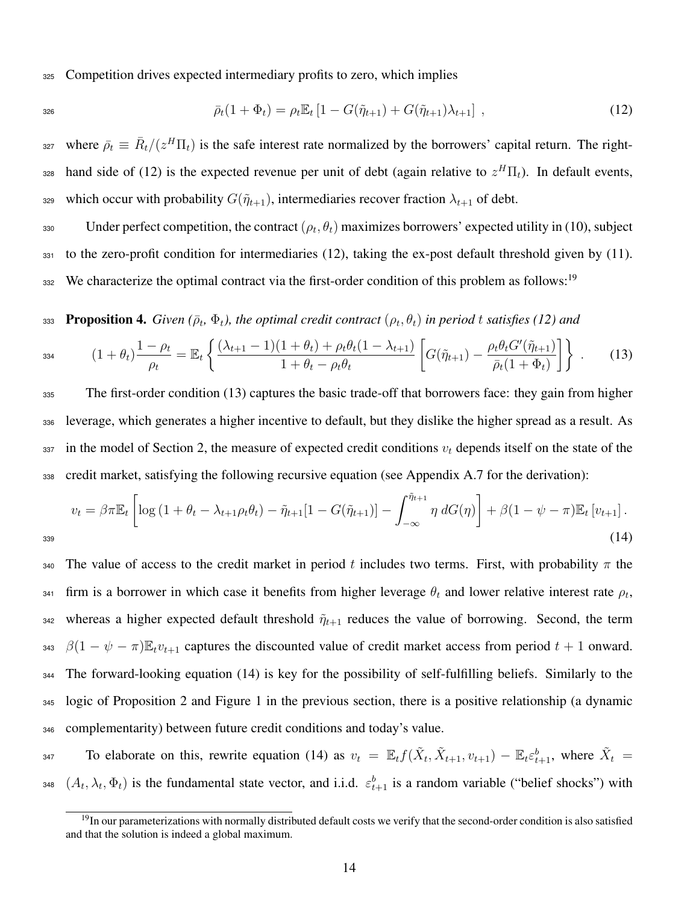<sup>325</sup> Competition drives expected intermediary profits to zero, which implies

$$
326 \\
$$

<span id="page-14-0"></span>
$$
\bar{\rho}_t(1+\Phi_t) = \rho_t \mathbb{E}_t \left[1 - G(\tilde{\eta}_{t+1}) + G(\tilde{\eta}_{t+1})\lambda_{t+1}\right],
$$
\n(12)

<sup>327</sup> where  $\bar{\rho}_t \equiv \bar{R}_t/(z^H \Pi_t)$  is the safe interest rate normalized by the borrowers' capital return. The right- $_{228}$  hand side of [\(12\)](#page-14-0) is the expected revenue per unit of debt (again relative to  $z^H\Pi_t$ ). In default events, 329 which occur with probability  $G(\tilde{\eta}_{t+1})$ , intermediaries recover fraction  $\lambda_{t+1}$  of debt.

330 Under perfect competition, the contract  $(\rho_t, \theta_t)$  maximizes borrowers' expected utility in [\(10\),](#page-13-0) subject <sup>331</sup> to the zero-profit condition for intermediaries [\(12\),](#page-14-0) taking the ex-post default threshold given by [\(11\).](#page-13-1) We characterize the optimal contract via the first-order condition of this problem as follows:<sup>[19](#page-0-0)</sup> 332

333 Proposition 4. *Given* ( $\bar{\rho}_t$ ,  $\Phi_t$ ), the optimal credit contract ( $\rho_t$ ,  $\theta_t$ ) in period t satisfies [\(12\)](#page-14-0) and

<span id="page-14-1"></span>
$$
{}_{334} \qquad (1+\theta_t) \frac{1-\rho_t}{\rho_t} = \mathbb{E}_t \left\{ \frac{(\lambda_{t+1}-1)(1+\theta_t) + \rho_t \theta_t (1-\lambda_{t+1})}{1+\theta_t - \rho_t \theta_t} \left[ G(\tilde{\eta}_{t+1}) - \frac{\rho_t \theta_t G'(\tilde{\eta}_{t+1})}{\bar{\rho}_t (1+\Phi_t)} \right] \right\} \ . \tag{13}
$$

 The first-order condition [\(13\)](#page-14-1) captures the basic trade-off that borrowers face: they gain from higher leverage, which generates a higher incentive to default, but they dislike the higher spread as a result. As in the model of Section [2,](#page-5-0) the measure of expected credit conditions  $v_t$  depends itself on the state of the credit market, satisfying the following recursive equation (see Appendix A.7 for the derivation):

<span id="page-14-2"></span>
$$
v_t = \beta \pi \mathbb{E}_t \left[ \log \left( 1 + \theta_t - \lambda_{t+1} \rho_t \theta_t \right) - \tilde{\eta}_{t+1} [1 - G(\tilde{\eta}_{t+1})] - \int_{-\infty}^{\tilde{\eta}_{t+1}} \eta \, dG(\eta) \right] + \beta (1 - \psi - \pi) \mathbb{E}_t \left[ v_{t+1} \right].
$$
\n(14)

340 The value of access to the credit market in period t includes two terms. First, with probability  $\pi$  the  $\epsilon_{341}$  firm is a borrower in which case it benefits from higher leverage  $\theta_t$  and lower relative interest rate  $\rho_t$ , 342 whereas a higher expected default threshold  $\tilde{\eta}_{t+1}$  reduces the value of borrowing. Second, the term 343  $\beta(1 - \psi - \pi) \mathbb{E}_t v_{t+1}$  captures the discounted value of credit market access from period  $t + 1$  onward. <sup>344</sup> The forward-looking equation [\(14\)](#page-14-2) is key for the possibility of self-fulfilling beliefs. Similarly to the <sup>345</sup> logic of Proposition [2](#page-8-0) and Figure [1](#page-36-0) in the previous section, there is a positive relationship (a dynamic <sup>346</sup> complementarity) between future credit conditions and today's value.

347 To elaborate on this, rewrite equation [\(14\)](#page-14-2) as  $v_t = \mathbb{E}_t f(\tilde{X}_t, \tilde{X}_{t+1}, v_{t+1}) - \mathbb{E}_t \varepsilon_{t+1}^b$ , where  $\tilde{X}_t =$  $(A_t, \lambda_t, \Phi_t)$  is the fundamental state vector, and i.i.d.  $\varepsilon_{t+1}^b$  is a random variable ("belief shocks") with

 $19$ In our parameterizations with normally distributed default costs we verify that the second-order condition is also satisfied and that the solution is indeed a global maximum.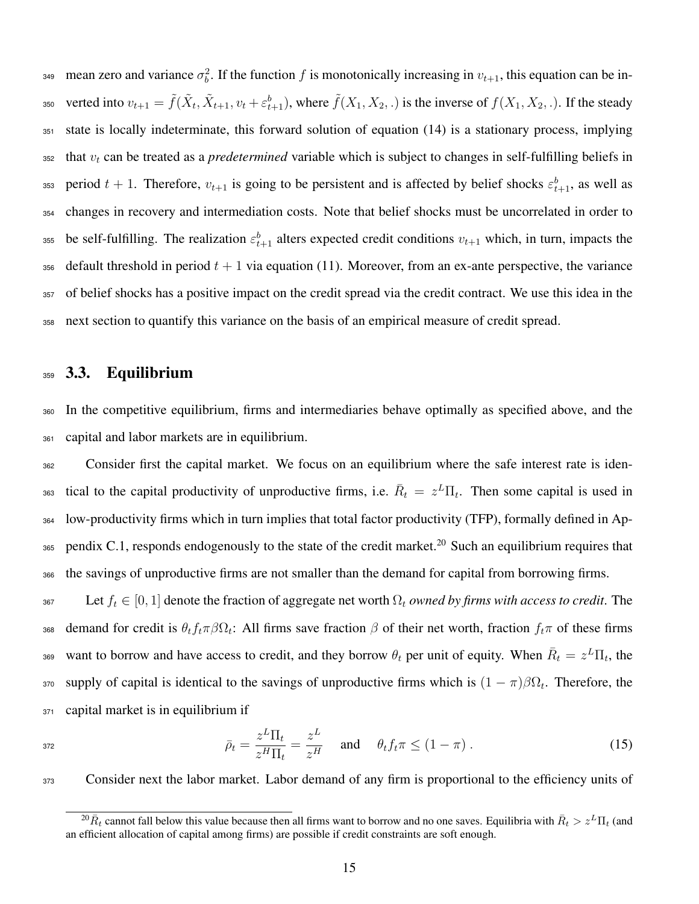$_{349}$  mean zero and variance  $\sigma_b^2$ . If the function f is monotonically increasing in  $v_{t+1}$ , this equation can be in-350 verted into  $v_{t+1} = \tilde{f}(\tilde{X}_t, \tilde{X}_{t+1}, v_t + \varepsilon_{t+1}^b)$ , where  $\tilde{f}(X_1, X_2, .)$  is the inverse of  $f(X_1, X_2, .)$ . If the steady <sup>351</sup> state is locally indeterminate, this forward solution of equation [\(14\)](#page-14-2) is a stationary process, implying  $352$  that  $v_t$  can be treated as a *predetermined* variable which is subject to changes in self-fulfilling beliefs in  $s_{353}$  period  $t + 1$ . Therefore,  $v_{t+1}$  is going to be persistent and is affected by belief shocks  $\varepsilon_{t+1}^b$ , as well as <sup>354</sup> changes in recovery and intermediation costs. Note that belief shocks must be uncorrelated in order to  $_{355}$  be self-fulfilling. The realization  $\varepsilon_{t+1}^b$  alters expected credit conditions  $v_{t+1}$  which, in turn, impacts the 356 default threshold in period  $t + 1$  via equation [\(11\).](#page-13-1) Moreover, from an ex-ante perspective, the variance <sup>357</sup> of belief shocks has a positive impact on the credit spread via the credit contract. We use this idea in the <sup>358</sup> next section to quantify this variance on the basis of an empirical measure of credit spread.

#### <sup>359</sup> 3.3. Equilibrium

<sup>360</sup> In the competitive equilibrium, firms and intermediaries behave optimally as specified above, and the <sup>361</sup> capital and labor markets are in equilibrium.

<sup>362</sup> Consider first the capital market. We focus on an equilibrium where the safe interest rate is iden-363 tical to the capital productivity of unproductive firms, i.e.  $\bar{R}_t = z^L \Pi_t$ . Then some capital is used in <sup>364</sup> low-productivity firms which in turn implies that total factor productivity (TFP), formally defined in Ap-365 pendix C.1, responds endogenously to the state of the credit market.<sup>[20](#page-0-0)</sup> Such an equilibrium requires that <sup>366</sup> the savings of unproductive firms are not smaller than the demand for capital from borrowing firms.

367 Let  $f_t \in [0, 1]$  denote the fraction of aggregate net worth  $\Omega_t$  *owned by firms with access to credit*. The 368 demand for credit is  $\theta_t f_t \pi \beta \Omega_t$ : All firms save fraction  $\beta$  of their net worth, fraction  $f_t \pi$  of these firms 369 want to borrow and have access to credit, and they borrow  $\theta_t$  per unit of equity. When  $\bar{R}_t = z^L \Pi_t$ , the 370 supply of capital is identical to the savings of unproductive firms which is  $(1 - \pi)\beta\Omega_t$ . Therefore, the <sup>371</sup> capital market is in equilibrium if

<span id="page-15-0"></span>
$$
\bar{\rho}_t = \frac{z^L \Pi_t}{z^H \Pi_t} = \frac{z^L}{z^H} \quad \text{and} \quad \theta_t f_t \pi \le (1 - \pi) \,. \tag{15}
$$

<sup>373</sup> Consider next the labor market. Labor demand of any firm is proportional to the efficiency units of

 $^{20}R_t$  cannot fall below this value because then all firms want to borrow and no one saves. Equilibria with  $\bar{R}_t > z^L \Pi_t$  (and an efficient allocation of capital among firms) are possible if credit constraints are soft enough.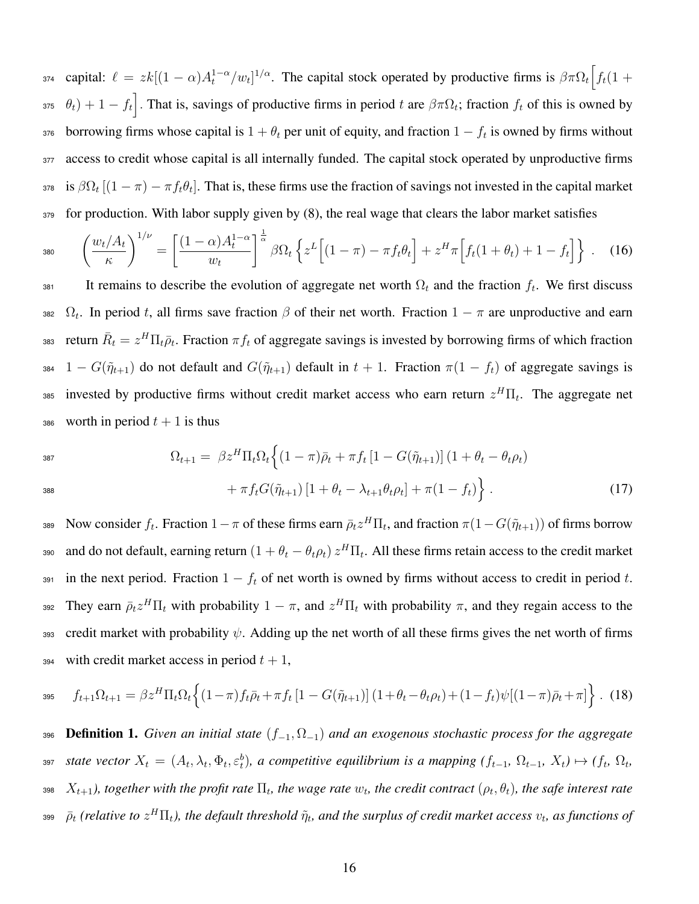374 capital:  $\ell = zk[(1-\alpha)A_t^{1-\alpha}/w_t]^{1/\alpha}$ . The capital stock operated by productive firms is  $\beta \pi \Omega_t \left[ f_t(1+\alpha)A_t^{1-\alpha}/w_t \right]$ 375  $\theta_t$ ) + 1 –  $f_t$ . That is, savings of productive firms in period t are  $\beta \pi \Omega_t$ ; fraction  $f_t$  of this is owned by  $1 - f_t$  is owned by firms whose capital is  $1 + \theta_t$  per unit of equity, and fraction  $1 - f_t$  is owned by firms without 377 access to credit whose capital is all internally funded. The capital stock operated by unproductive firms 378 is  $\beta\Omega_t$  [ $(1-\pi) - \pi f_t\theta_t$ ]. That is, these firms use the fraction of savings not invested in the capital market 379 for production. With labor supply given by [\(8\),](#page-10-0) the real wage that clears the labor market satisfies

<span id="page-16-0"></span>
$$
{}_{380} \qquad \left(\frac{w_t/A_t}{\kappa}\right)^{1/\nu} = \left[\frac{(1-\alpha)A_t^{1-\alpha}}{w_t}\right]^{\frac{1}{\alpha}} \beta \Omega_t \left\{z^L\left[(1-\pi) - \pi f_t \theta_t\right] + z^H \pi \left[f_t(1+\theta_t) + 1 - f_t\right]\right\} \ . \tag{16}
$$

381 It remains to describe the evolution of aggregate net worth  $\Omega_t$  and the fraction  $f_t$ . We first discuss 382  $\Omega_t$ . In period t, all firms save fraction  $\beta$  of their net worth. Fraction  $1 - \pi$  are unproductive and earn 383 return  $\bar{R}_t = z^H \Pi_t \bar{\rho}_t$ . Fraction  $\pi f_t$  of aggregate savings is invested by borrowing firms of which fraction 384 1 –  $G(\tilde{\eta}_{t+1})$  do not default and  $G(\tilde{\eta}_{t+1})$  default in  $t + 1$ . Fraction  $\pi(1 - f_t)$  of aggregate savings is 385 invested by productive firms without credit market access who earn return  $z^H\Pi_t$ . The aggregate net 386 worth in period  $t + 1$  is thus

<span id="page-16-1"></span>
$$
\Omega_{t+1} = \beta z^{H} \Pi_{t} \Omega_{t} \Big\{ (1 - \pi) \bar{\rho}_{t} + \pi f_{t} \left[ 1 - G(\tilde{\eta}_{t+1}) \right] (1 + \theta_{t} - \theta_{t} \rho_{t}) + \pi f_{t} G(\tilde{\eta}_{t+1}) \left[ 1 + \theta_{t} - \lambda_{t+1} \theta_{t} \rho_{t} \right] + \pi (1 - f_{t}) \Big\} .
$$
\n(17)

389 Now consider  $f_t$ . Fraction  $1-\pi$  of these firms earn  $\bar{\rho}_t z^H \Pi_t$ , and fraction  $\pi(1-G(\tilde{\eta}_{t+1}))$  of firms borrow 390 and do not default, earning return  $(1+\theta_t-\theta_t\rho_t)z^H\Pi_t$ . All these firms retain access to the credit market 391 in the next period. Fraction  $1 - f_t$  of net worth is owned by firms without access to credit in period t. 392 They earn  $\bar{\rho}_t z^H \Pi_t$  with probability  $1-\pi$ , and  $z^H \Pi_t$  with probability  $\pi$ , and they regain access to the 393 credit market with probability  $\psi$ . Adding up the net worth of all these firms gives the net worth of firms 394 with credit market access in period  $t + 1$ ,

<span id="page-16-2"></span>
$$
f_{t+1}\Omega_{t+1} = \beta z^H \Pi_t \Omega_t \left\{ (1-\pi)f_t \bar{\rho}_t + \pi f_t \left[ 1 - G(\tilde{\eta}_{t+1}) \right] (1+\theta_t - \theta_t \rho_t) + (1-f_t)\psi[(1-\pi)\bar{\rho}_t + \pi] \right\}.
$$
 (18)

<sup>396</sup> Definition 1. *Given an initial state* (f<sup>−</sup>1, Ω<sup>−</sup>1) *and an exogenous stochastic process for the aggregate*  $\mathcal{L}_{\text{397}}$  *state vector*  $X_t = (A_t, \lambda_t, \Phi_t, \varepsilon_t^b)$ , a competitive equilibrium is a mapping  $(f_{t-1}, \Omega_{t-1}, X_t) \mapsto (f_t, \Omega_t, \Omega_t)$  $X_{t+1}$ ), together with the profit rate  $\Pi_t$ , the wage rate  $w_t$ , the credit contract  $(\rho_t,\theta_t)$ , the safe interest rate 399  $\bar \rho_t$  (relative to  $z^H\Pi_t$ ), the default threshold  $\tilde\eta_t$ , and the surplus of credit market access  $v_t$ , as functions of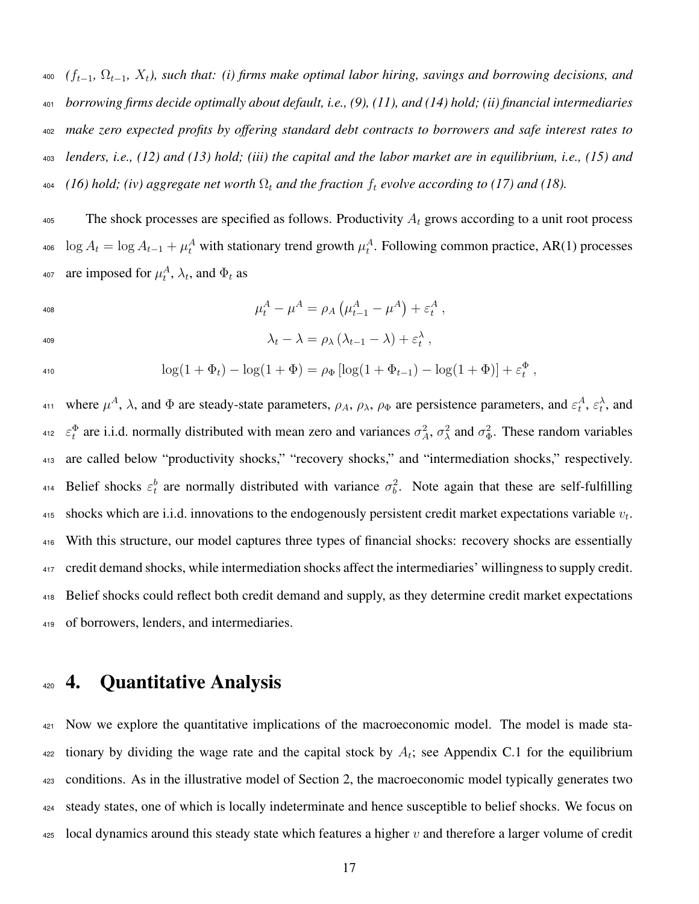*(*ft−1*,* Ωt−1*,* Xt*), such that: (i) firms make optimal labor hiring, savings and borrowing decisions, and borrowing firms decide optimally about default, i.e., [\(9\),](#page-11-0) [\(11\),](#page-13-1) and [\(14\)](#page-14-2) hold; (ii) financial intermediaries make zero expected profits by offering standard debt contracts to borrowers and safe interest rates to lenders, i.e., [\(12\)](#page-14-0) and [\(13\)](#page-14-1) hold; (iii) the capital and the labor market are in equilibrium, i.e., [\(15\)](#page-15-0) and [\(16\)](#page-16-0) hold; (iv) aggregate net worth*  $\Omega_t$  *and the fraction*  $f_t$  *evolve according to [\(17\)](#page-16-1) and [\(18\).](#page-16-2)* 

<sup>405</sup> The shock processes are specified as follows. Productivity  $A_t$  grows according to a unit root process <sup>406</sup> log  $A_t = \log A_{t-1} + \mu_t^A$  with stationary trend growth  $\mu_t^A$ . Following common practice, AR(1) processes <sup>407</sup> are imposed for  $\mu_t^A$ ,  $\lambda_t$ , and  $\Phi_t$  as

$$
\mu_t^A - \mu^A = \rho_A \left( \mu_{t-1}^A - \mu^A \right) + \varepsilon_t^A \;,
$$

$$
\lambda_t - \lambda = \rho_\lambda \left( \lambda_{t-1} - \lambda \right) + \varepsilon_t^{\lambda} ,
$$

$$
\log(1 + \Phi_t) - \log(1 + \Phi) = \rho_{\Phi} [\log(1 + \Phi_{t-1}) - \log(1 + \Phi)] + \varepsilon_t^{\Phi},
$$

411 where  $\mu^A$ ,  $\lambda$ , and  $\Phi$  are steady-state parameters,  $\rho_A$ ,  $\rho_\lambda$ ,  $\rho_\Phi$  are persistence parameters, and  $\varepsilon_t^A$ ,  $\varepsilon_t^{\lambda}$ , and <sup>412</sup>  $\varepsilon_t^{\Phi}$  are i.i.d. normally distributed with mean zero and variances  $\sigma_A^2$ ,  $\sigma_\lambda^2$  and  $\sigma_\Phi^2$ . These random variables <sup>413</sup> are called below "productivity shocks," "recovery shocks," and "intermediation shocks," respectively. 414 Belief shocks  $\varepsilon_t^b$  are normally distributed with variance  $\sigma_b^2$ . Note again that these are self-fulfilling 415 shocks which are i.i.d. innovations to the endogenously persistent credit market expectations variable  $v_t$ . <sup>416</sup> With this structure, our model captures three types of financial shocks: recovery shocks are essentially <sup>417</sup> credit demand shocks, while intermediation shocks affect the intermediaries' willingness to supply credit. <sup>418</sup> Belief shocks could reflect both credit demand and supply, as they determine credit market expectations <sup>419</sup> of borrowers, lenders, and intermediaries.

# <span id="page-17-0"></span>4. Quantitative Analysis

 Now we explore the quantitative implications of the macroeconomic model. The model is made sta- tionary by dividing the wage rate and the capital stock by  $A_t$ ; see Appendix C.1 for the equilibrium conditions. As in the illustrative model of Section [2,](#page-5-0) the macroeconomic model typically generates two steady states, one of which is locally indeterminate and hence susceptible to belief shocks. We focus on local dynamics around this steady state which features a higher v and therefore a larger volume of credit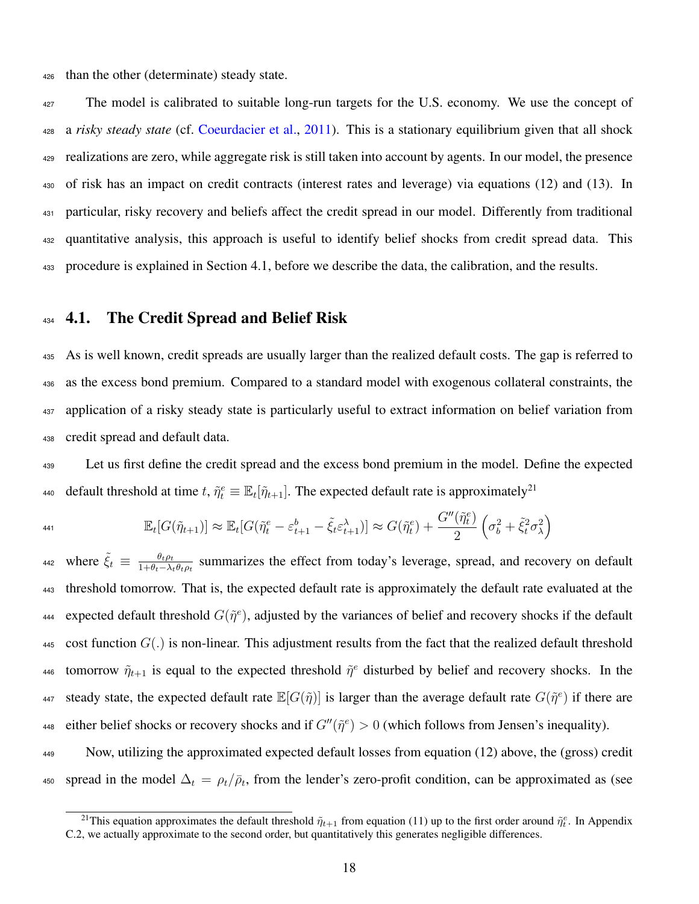<sup>426</sup> than the other (determinate) steady state.

<sup>427</sup> The model is calibrated to suitable long-run targets for the U.S. economy. We use the concept of a *risky steady state* (cf. [Coeurdacier et al.,](#page-29-2) [2011\)](#page-29-2). This is a stationary equilibrium given that all shock realizations are zero, while aggregate risk is still taken into account by agents. In our model, the presence of risk has an impact on credit contracts (interest rates and leverage) via equations [\(12\)](#page-14-0) and [\(13\).](#page-14-1) In particular, risky recovery and beliefs affect the credit spread in our model. Differently from traditional quantitative analysis, this approach is useful to identify belief shocks from credit spread data. This procedure is explained in Section 4.1, before we describe the data, the calibration, and the results.

### <span id="page-18-0"></span>434 4.1. The Credit Spread and Belief Risk

441

 As is well known, credit spreads are usually larger than the realized default costs. The gap is referred to as the excess bond premium. Compared to a standard model with exogenous collateral constraints, the application of a risky steady state is particularly useful to extract information on belief variation from credit spread and default data.

<sup>439</sup> Let us first define the credit spread and the excess bond premium in the model. Define the expected default threshold at time t,  $\tilde{\eta}_t^e \equiv \mathbb{E}_t[\tilde{\eta}_{t+1}]$ . The expected default rate is approximately<sup>[21](#page-0-0)</sup> 440

$$
\mathbb{E}_t[G(\tilde{\eta}_{t+1})] \approx \mathbb{E}_t[G(\tilde{\eta}_t^e - \varepsilon_{t+1}^b - \tilde{\xi}_t \varepsilon_{t+1}^\lambda)] \approx G(\tilde{\eta}_t^e) + \frac{G''(\tilde{\eta}_t^e)}{2} \left(\sigma_b^2 + \tilde{\xi}_t^2 \sigma_\lambda^2\right)
$$

where  $\tilde{\xi}_t \equiv \frac{\theta_t \rho_t}{1 + \theta_t - \lambda_t}$ 442 where  $\xi_t \equiv \frac{\theta_t \rho_t}{1 + \theta_t - \lambda_t \theta_t \rho_t}$  summarizes the effect from today's leverage, spread, and recovery on default <sup>443</sup> threshold tomorrow. That is, the expected default rate is approximately the default rate evaluated at the expected default threshold  $G(\tilde{\eta}^e)$ , adjusted by the variances of belief and recovery shocks if the default 445 cost function  $G(.)$  is non-linear. This adjustment results from the fact that the realized default threshold 446 tomorrow  $\tilde{\eta}_{t+1}$  is equal to the expected threshold  $\tilde{\eta}^e$  disturbed by belief and recovery shocks. In the 447 steady state, the expected default rate  $\mathbb{E}[G(\tilde{\eta})]$  is larger than the average default rate  $G(\tilde{\eta}^e)$  if there are 448 either belief shocks or recovery shocks and if  $G''(\tilde{\eta}^e) > 0$  (which follows from Jensen's inequality).

<sup>449</sup> Now, utilizing the approximated expected default losses from equation [\(12\)](#page-14-0) above, the (gross) credit 450 spread in the model  $\Delta_t = \rho_t/\bar{\rho}_t$ , from the lender's zero-profit condition, can be approximated as (see

<sup>&</sup>lt;sup>21</sup>This equation approximates the default threshold  $\tilde{\eta}_{t+1}$  from equation [\(11\)](#page-13-1) up to the first order around  $\tilde{\eta}_t^e$ . In Appendix C.2, we actually approximate to the second order, but quantitatively this generates negligible differences.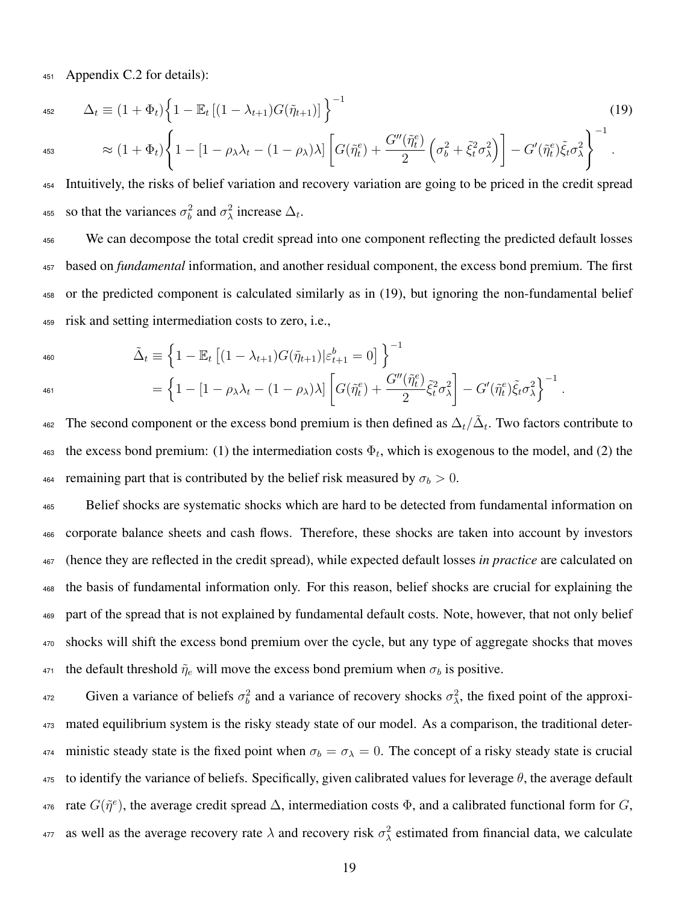<span id="page-19-0"></span><sup>451</sup> Appendix C.2 for details):

$$
\Delta_t \equiv (1 + \Phi_t) \left\{ 1 - \mathbb{E}_t \left[ (1 - \lambda_{t+1}) G(\tilde{\eta}_{t+1}) \right] \right\}^{-1}
$$
\n
$$
\approx (1 + \Phi_t) \left\{ 1 - \left[ 1 - \rho_\lambda \lambda_t - (1 - \rho_\lambda) \lambda \right] \left[ G(\tilde{\eta}_t^e) + \frac{G''(\tilde{\eta}_t^e)}{2} \left( \sigma_b^2 + \tilde{\xi}_t^2 \sigma_\lambda^2 \right) \right] - G'(\tilde{\eta}_t^e) \tilde{\xi}_t \sigma_\lambda^2 \right\}^{-1}.
$$
\n(19)

2 <sup>454</sup> Intuitively, the risks of belief variation and recovery variation are going to be priced in the credit spread 455 so that the variances  $\sigma_b^2$  and  $\sigma_\lambda^2$  increase  $\Delta_t$ .

 We can decompose the total credit spread into one component reflecting the predicted default losses based on *fundamental* information, and another residual component, the excess bond premium. The first or the predicted component is calculated similarly as in [\(19\),](#page-19-0) but ignoring the non-fundamental belief risk and setting intermediation costs to zero, i.e.,

460

$$
\tilde{\Delta}_t \equiv \left\{ 1 - \mathbb{E}_t \left[ (1 - \lambda_{t+1}) G(\tilde{\eta}_{t+1}) \big| \varepsilon_{t+1}^b = 0 \right] \right\}^{-1}
$$
\n
$$
= \left\{ 1 - [1 - \rho_\lambda \lambda_t - (1 - \rho_\lambda) \lambda] \left[ G(\tilde{\eta}_t^e) + \frac{G''(\tilde{\eta}_t^e)}{2} \tilde{\xi}_t^2 \sigma_\lambda^2 \right] - G'(\tilde{\eta}_t^e) \tilde{\xi}_t \sigma_\lambda^2 \right\}^{-1}.
$$

462 The second component or the excess bond premium is then defined as  $\Delta_t/\tilde{\Delta}_t$ . Two factors contribute to 463 the excess bond premium: (1) the intermediation costs  $\Phi_t$ , which is exogenous to the model, and (2) the 464 remaining part that is contributed by the belief risk measured by  $\sigma_b > 0$ .

 Belief shocks are systematic shocks which are hard to be detected from fundamental information on corporate balance sheets and cash flows. Therefore, these shocks are taken into account by investors (hence they are reflected in the credit spread), while expected default losses *in practice* are calculated on the basis of fundamental information only. For this reason, belief shocks are crucial for explaining the part of the spread that is not explained by fundamental default costs. Note, however, that not only belief shocks will shift the excess bond premium over the cycle, but any type of aggregate shocks that moves 471 the default threshold  $\tilde{\eta}_e$  will move the excess bond premium when  $\sigma_b$  is positive.

472 Given a variance of beliefs  $\sigma_b^2$  and a variance of recovery shocks  $\sigma_\lambda^2$ , the fixed point of the approxi-<sup>473</sup> mated equilibrium system is the risky steady state of our model. As a comparison, the traditional deter-474 ministic steady state is the fixed point when  $\sigma_b = \sigma_\lambda = 0$ . The concept of a risky steady state is crucial 475 to identify the variance of beliefs. Specifically, given calibrated values for leverage  $\theta$ , the average default 476 rate  $G(\tilde{\eta}^e)$ , the average credit spread  $\Delta$ , intermediation costs  $\Phi$ , and a calibrated functional form for G, as well as the average recovery rate  $\lambda$  and recovery risk  $\sigma_\lambda^2$  estimated from financial data, we calculate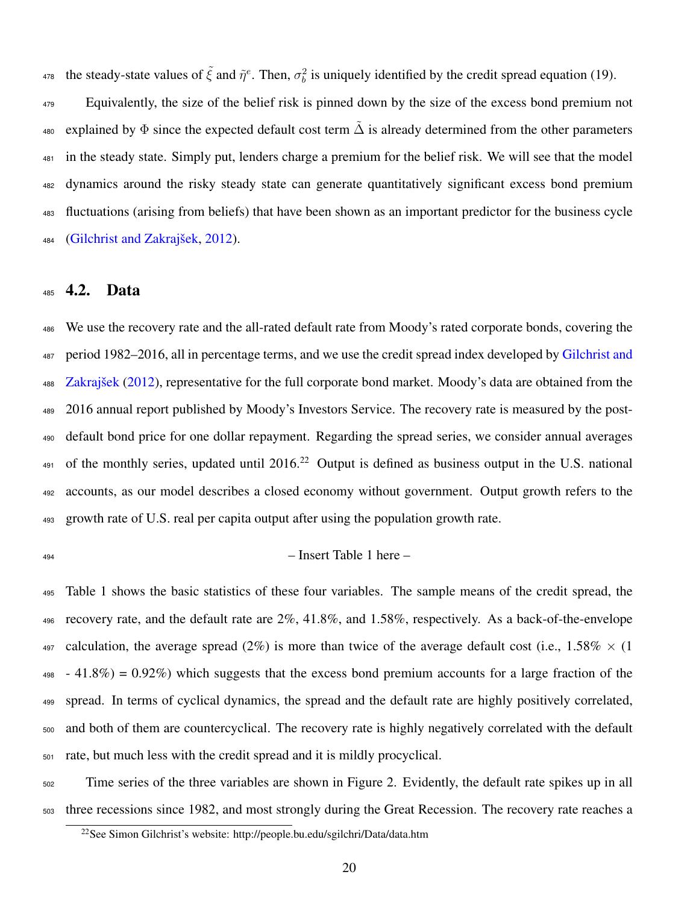<sup>478</sup> the steady-state values of  $\tilde{\xi}$  and  $\tilde{\eta}^e$ . Then,  $\sigma_b^2$  is uniquely identified by the credit spread equation [\(19\).](#page-19-0)

 Equivalently, the size of the belief risk is pinned down by the size of the excess bond premium not 480 explained by  $\Phi$  since the expected default cost term  $\tilde{\Delta}$  is already determined from the other parameters in the steady state. Simply put, lenders charge a premium for the belief risk. We will see that the model dynamics around the risky steady state can generate quantitatively significant excess bond premium fluctuations (arising from beliefs) that have been shown as an important predictor for the business cycle [\(Gilchrist and Zakrajšek,](#page-30-0) [2012\)](#page-30-0).

#### 4.2. Data

 We use the recovery rate and the all-rated default rate from Moody's rated corporate bonds, covering the [p](#page-30-0)eriod 1982–2016, all in percentage terms, and we use the credit spread index developed by [Gilchrist and](#page-30-0) [Zakrajšek](#page-30-0) [\(2012\)](#page-30-0), representative for the full corporate bond market. Moody's data are obtained from the 2016 annual report published by Moody's Investors Service. The recovery rate is measured by the post- default bond price for one dollar repayment. Regarding the spread series, we consider annual averages of the monthly series, updated until 2016.<sup>[22](#page-0-0)</sup> Output is defined as business output in the U.S. national accounts, as our model describes a closed economy without government. Output growth refers to the growth rate of U.S. real per capita output after using the population growth rate.

#### $_{494}$  – Insert Table 1 here –

 Table [1](#page-31-0) shows the basic statistics of these four variables. The sample means of the credit spread, the recovery rate, and the default rate are 2%, 41.8%, and 1.58%, respectively. As a back-of-the-envelope 497 calculation, the average spread (2%) is more than twice of the average default cost (i.e., 1.58%  $\times$  (1)  $498 - 41.8\% = 0.92\%$  which suggests that the excess bond premium accounts for a large fraction of the spread. In terms of cyclical dynamics, the spread and the default rate are highly positively correlated, and both of them are countercyclical. The recovery rate is highly negatively correlated with the default rate, but much less with the credit spread and it is mildly procyclical.

 Time series of the three variables are shown in [Figure 2.](#page-37-0) Evidently, the default rate spikes up in all three recessions since 1982, and most strongly during the Great Recession. The recovery rate reaches a

See Simon Gilchrist's website: <http://people.bu.edu/sgilchri/Data/data.htm>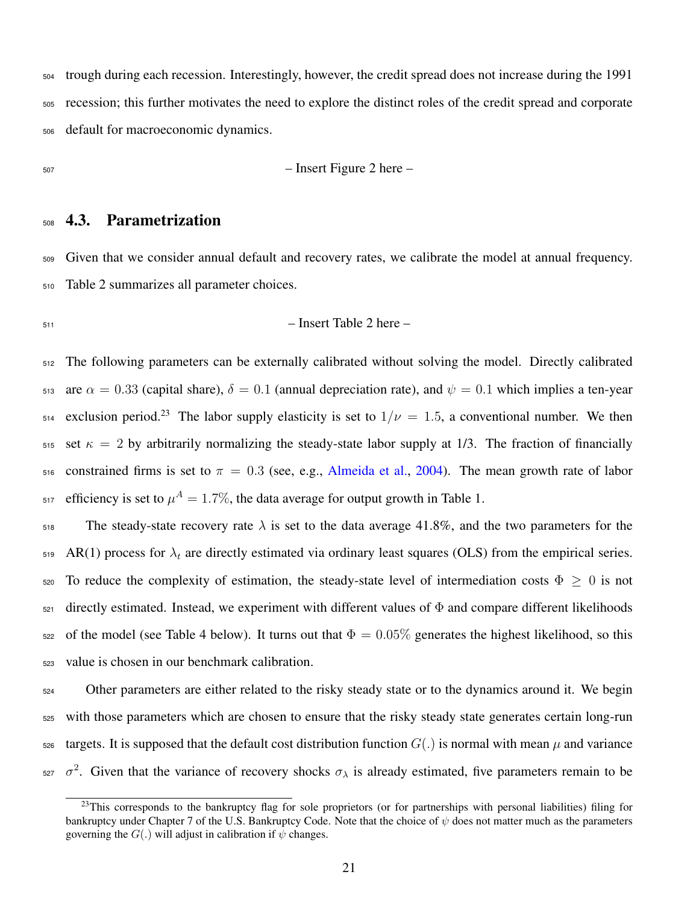trough during each recession. Interestingly, however, the credit spread does not increase during the 1991 recession; this further motivates the need to explore the distinct roles of the credit spread and corporate default for macroeconomic dynamics.

$$
50\,\,
$$

 $-$  Insert Figure 2 here  $-$ 

### 4.3. Parametrization

 Given that we consider annual default and recovery rates, we calibrate the model at annual frequency. [Table 2](#page-32-0) summarizes all parameter choices.

$$
- Insert Table 2 here -
$$

 The following parameters can be externally calibrated without solving the model. Directly calibrated 513 are  $\alpha = 0.33$  (capital share),  $\delta = 0.1$  (annual depreciation rate), and  $\psi = 0.1$  which implies a ten-year exclusion period.<sup>[23](#page-0-0)</sup> The labor supply elasticity is set to  $1/\nu = 1.5$ , a conventional number. We then 515 set  $\kappa = 2$  by arbitrarily normalizing the steady-state labor supply at 1/3. The fraction of financially 516 constrained firms is set to  $\pi = 0.3$  (see, e.g., [Almeida et al.,](#page-28-5) [2004\)](#page-28-5). The mean growth rate of labor <sup>517</sup> efficiency is set to  $\mu^A = 1.7\%$  $\mu^A = 1.7\%$  $\mu^A = 1.7\%$ , the data average for output growth in Table 1.

 The steady-state recovery rate  $\lambda$  is set to the data average 41.8%, and the two parameters for the 519 AR(1) process for  $\lambda_t$  are directly estimated via ordinary least squares (OLS) from the empirical series. 520 To reduce the complexity of estimation, the steady-state level of intermediation costs  $\Phi \geq 0$  is not directly estimated. Instead, we experiment with different values of  $\Phi$  and compare different likelihoods 522 of the model (see Table [4](#page-34-0) below). It turns out that  $\Phi = 0.05\%$  generates the highest likelihood, so this value is chosen in our benchmark calibration.

 Other parameters are either related to the risky steady state or to the dynamics around it. We begin with those parameters which are chosen to ensure that the risky steady state generates certain long-run targets. It is supposed that the default cost distribution function  $G(.)$  is normal with mean  $\mu$  and variance  $σ<sup>2</sup>$ . Given that the variance of recovery shocks  $σ<sub>λ</sub>$  is already estimated, five parameters remain to be

<sup>&</sup>lt;sup>23</sup>This corresponds to the bankruptcy flag for sole proprietors (or for partnerships with personal liabilities) filing for bankruptcy under Chapter 7 of the U.S. Bankruptcy Code. Note that the choice of  $\psi$  does not matter much as the parameters governing the  $G(.)$  will adjust in calibration if  $\psi$  changes.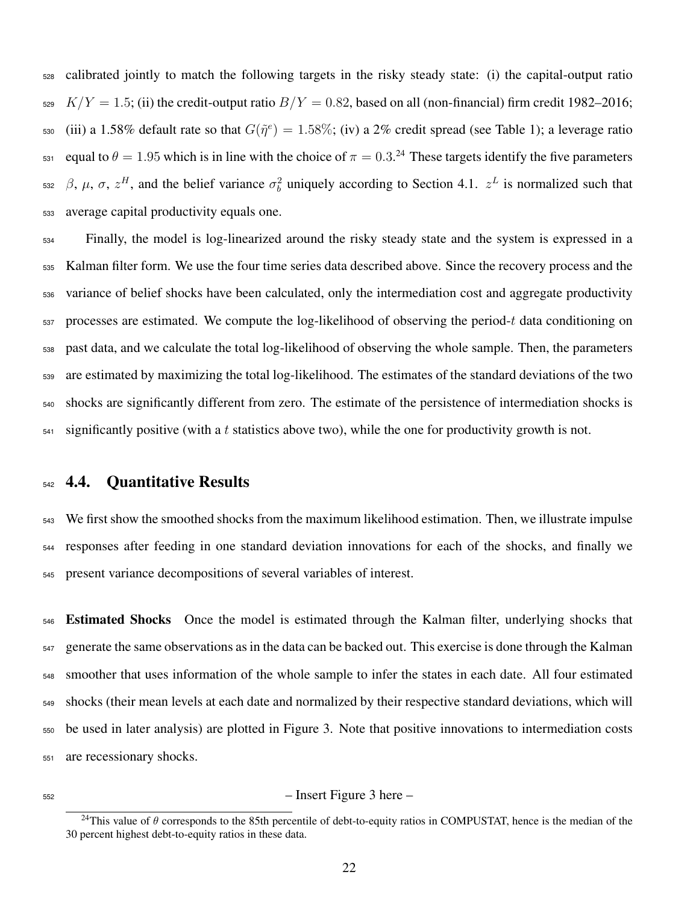calibrated jointly to match the following targets in the risky steady state: (i) the capital-output ratio  $529 K/Y = 1.5$ ; (ii) the credit-output ratio  $B/Y = 0.82$ , based on all (non-financial) firm credit 1982–2016; 530 (iii) a 1.58% default rate so that  $G(\tilde{\eta}^e) = 1.58\%$ ; (iv) a 2% credit spread (see [Table 1\)](#page-31-0); a leverage ratio  $_{531}$  equal to  $\theta = 1.95$  which is in line with the choice of  $\pi = 0.3$ .<sup>[24](#page-0-0)</sup> These targets identify the five parameters <sup>532</sup> β, μ, σ,  $z^H$ , and the belief variance  $\sigma_b^2$  uniquely according to Section [4.1.](#page-18-0)  $z^L$  is normalized such that average capital productivity equals one.

 Finally, the model is log-linearized around the risky steady state and the system is expressed in a Kalman filter form. We use the four time series data described above. Since the recovery process and the variance of belief shocks have been calculated, only the intermediation cost and aggregate productivity processes are estimated. We compute the log-likelihood of observing the period-t data conditioning on past data, and we calculate the total log-likelihood of observing the whole sample. Then, the parameters are estimated by maximizing the total log-likelihood. The estimates of the standard deviations of the two shocks are significantly different from zero. The estimate of the persistence of intermediation shocks is significantly positive (with a t statistics above two), while the one for productivity growth is not.

#### 4.4. Quantitative Results

 We first show the smoothed shocks from the maximum likelihood estimation. Then, we illustrate impulse responses after feeding in one standard deviation innovations for each of the shocks, and finally we present variance decompositions of several variables of interest.

 Estimated Shocks Once the model is estimated through the Kalman filter, underlying shocks that generate the same observations as in the data can be backed out. This exercise is done through the Kalman smoother that uses information of the whole sample to infer the states in each date. All four estimated shocks (their mean levels at each date and normalized by their respective standard deviations, which will be used in later analysis) are plotted in Figure [3.](#page-38-0) Note that positive innovations to intermediation costs are recessionary shocks.

#### – Insert Figure 3 here –

<sup>&</sup>lt;sup>24</sup>This value of  $\theta$  corresponds to the 85th percentile of debt-to-equity ratios in COMPUSTAT, hence is the median of the 30 percent highest debt-to-equity ratios in these data.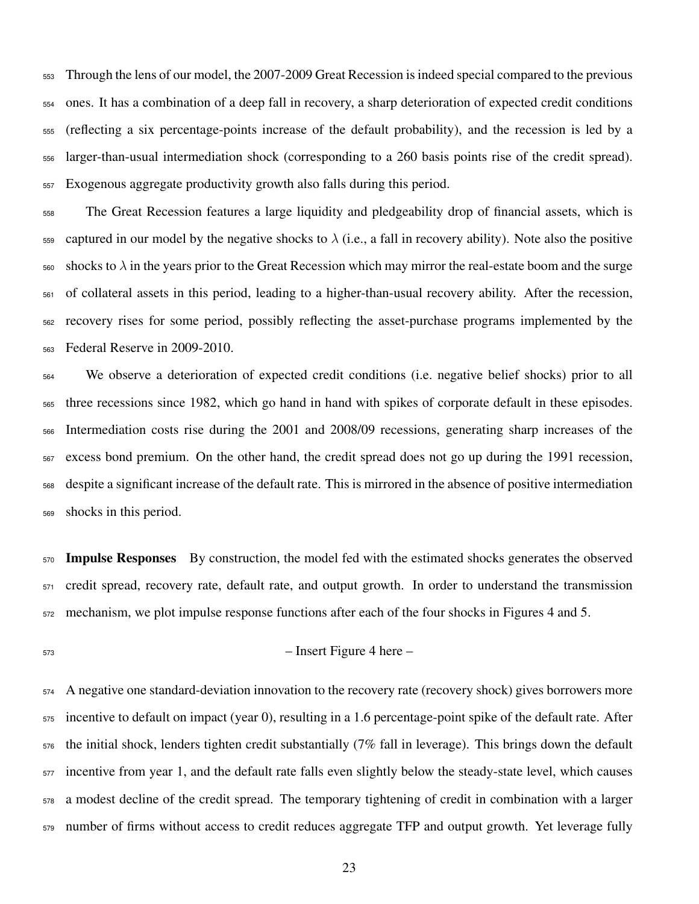Through the lens of our model, the 2007-2009 Great Recession is indeed special compared to the previous ones. It has a combination of a deep fall in recovery, a sharp deterioration of expected credit conditions (reflecting a six percentage-points increase of the default probability), and the recession is led by a larger-than-usual intermediation shock (corresponding to a 260 basis points rise of the credit spread). Exogenous aggregate productivity growth also falls during this period.

 The Great Recession features a large liquidity and pledgeability drop of financial assets, which is  $_{559}$  captured in our model by the negative shocks to  $\lambda$  (i.e., a fall in recovery ability). Note also the positive  $\frac{1}{560}$  shocks to  $\lambda$  in the years prior to the Great Recession which may mirror the real-estate boom and the surge of collateral assets in this period, leading to a higher-than-usual recovery ability. After the recession, recovery rises for some period, possibly reflecting the asset-purchase programs implemented by the Federal Reserve in 2009-2010.

 We observe a deterioration of expected credit conditions (i.e. negative belief shocks) prior to all three recessions since 1982, which go hand in hand with spikes of corporate default in these episodes. Intermediation costs rise during the 2001 and 2008/09 recessions, generating sharp increases of the excess bond premium. On the other hand, the credit spread does not go up during the 1991 recession, despite a significant increase of the default rate. This is mirrored in the absence of positive intermediation shocks in this period.

 Impulse Responses By construction, the model fed with the estimated shocks generates the observed credit spread, recovery rate, default rate, and output growth. In order to understand the transmission mechanism, we plot impulse response functions after each of the four shocks in Figures [4](#page-39-0) and [5.](#page-40-0)

– Insert Figure 4 here –

 A negative one standard-deviation innovation to the recovery rate (recovery shock) gives borrowers more incentive to default on impact (year 0), resulting in a 1.6 percentage-point spike of the default rate. After the initial shock, lenders tighten credit substantially (7% fall in leverage). This brings down the default incentive from year 1, and the default rate falls even slightly below the steady-state level, which causes a modest decline of the credit spread. The temporary tightening of credit in combination with a larger number of firms without access to credit reduces aggregate TFP and output growth. Yet leverage fully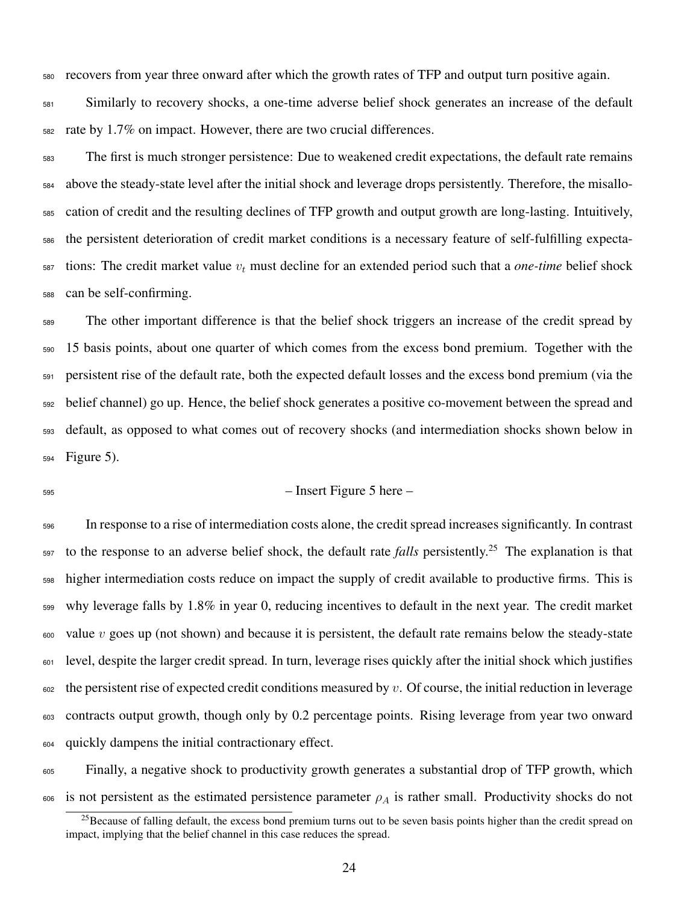recovers from year three onward after which the growth rates of TFP and output turn positive again.

 Similarly to recovery shocks, a one-time adverse belief shock generates an increase of the default rate by 1.7% on impact. However, there are two crucial differences.

 The first is much stronger persistence: Due to weakened credit expectations, the default rate remains above the steady-state level after the initial shock and leverage drops persistently. Therefore, the misallo- cation of credit and the resulting declines of TFP growth and output growth are long-lasting. Intuitively, the persistent deterioration of credit market conditions is a necessary feature of self-fulfilling expecta- tions: The credit market value  $v_t$  must decline for an extended period such that a *one-time* belief shock can be self-confirming.

 The other important difference is that the belief shock triggers an increase of the credit spread by 15 basis points, about one quarter of which comes from the excess bond premium. Together with the persistent rise of the default rate, both the expected default losses and the excess bond premium (via the belief channel) go up. Hence, the belief shock generates a positive co-movement between the spread and default, as opposed to what comes out of recovery shocks (and intermediation shocks shown below in Figure [5\)](#page-40-0).

#### $-$  Insert Figure 5 here –

 In response to a rise of intermediation costs alone, the credit spread increases significantly. In contrast to the response to an adverse belief shock, the default rate *falls* persistently.[25](#page-0-0) The explanation is that higher intermediation costs reduce on impact the supply of credit available to productive firms. This is why leverage falls by 1.8% in year 0, reducing incentives to default in the next year. The credit market value v goes up (not shown) and because it is persistent, the default rate remains below the steady-state level, despite the larger credit spread. In turn, leverage rises quickly after the initial shock which justifies the persistent rise of expected credit conditions measured by v. Of course, the initial reduction in leverage contracts output growth, though only by 0.2 percentage points. Rising leverage from year two onward quickly dampens the initial contractionary effect.

 Finally, a negative shock to productivity growth generates a substantial drop of TFP growth, which 606 is not persistent as the estimated persistence parameter  $\rho_A$  is rather small. Productivity shocks do not

 $^{25}$ Because of falling default, the excess bond premium turns out to be seven basis points higher than the credit spread on impact, implying that the belief channel in this case reduces the spread.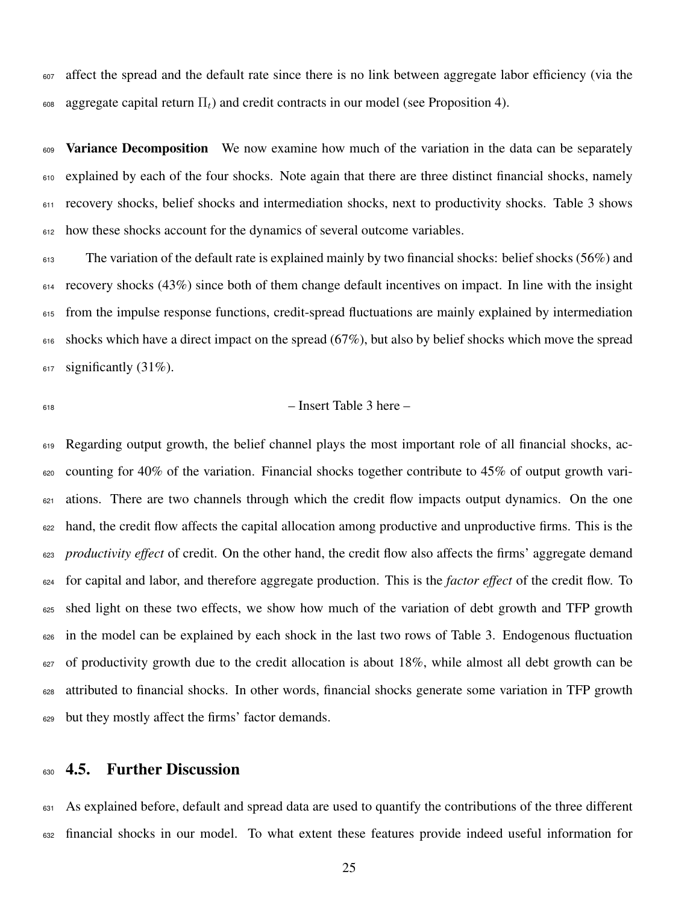affect the spread and the default rate since there is no link between aggregate labor efficiency (via the 608 aggregate capital return  $\Pi_t$ ) and credit contracts in our model (see Proposition 4).

609 Variance Decomposition We now examine how much of the variation in the data can be separately explained by each of the four shocks. Note again that there are three distinct financial shocks, namely recovery shocks, belief shocks and intermediation shocks, next to productivity shocks. Table [3](#page-33-0) shows how these shocks account for the dynamics of several outcome variables.

613 The variation of the default rate is explained mainly by two financial shocks: belief shocks (56%) and recovery shocks (43%) since both of them change default incentives on impact. In line with the insight from the impulse response functions, credit-spread fluctuations are mainly explained by intermediation 616 shocks which have a direct impact on the spread (67%), but also by belief shocks which move the spread  $_{617}$  significantly (31%).

#### $\frac{618}{2}$  – Insert Table 3 here –

 Regarding output growth, the belief channel plays the most important role of all financial shocks, ac- $\epsilon_{620}$  counting for 40% of the variation. Financial shocks together contribute to 45% of output growth vari- ations. There are two channels through which the credit flow impacts output dynamics. On the one hand, the credit flow affects the capital allocation among productive and unproductive firms. This is the *productivity effect* of credit. On the other hand, the credit flow also affects the firms' aggregate demand for capital and labor, and therefore aggregate production. This is the *factor effect* of the credit flow. To 625 shed light on these two effects, we show how much of the variation of debt growth and TFP growth in the model can be explained by each shock in the last two rows of Table [3.](#page-33-0) Endogenous fluctuation of productivity growth due to the credit allocation is about 18%, while almost all debt growth can be attributed to financial shocks. In other words, financial shocks generate some variation in TFP growth but they mostly affect the firms' factor demands.

#### 4.5. Further Discussion

 As explained before, default and spread data are used to quantify the contributions of the three different financial shocks in our model. To what extent these features provide indeed useful information for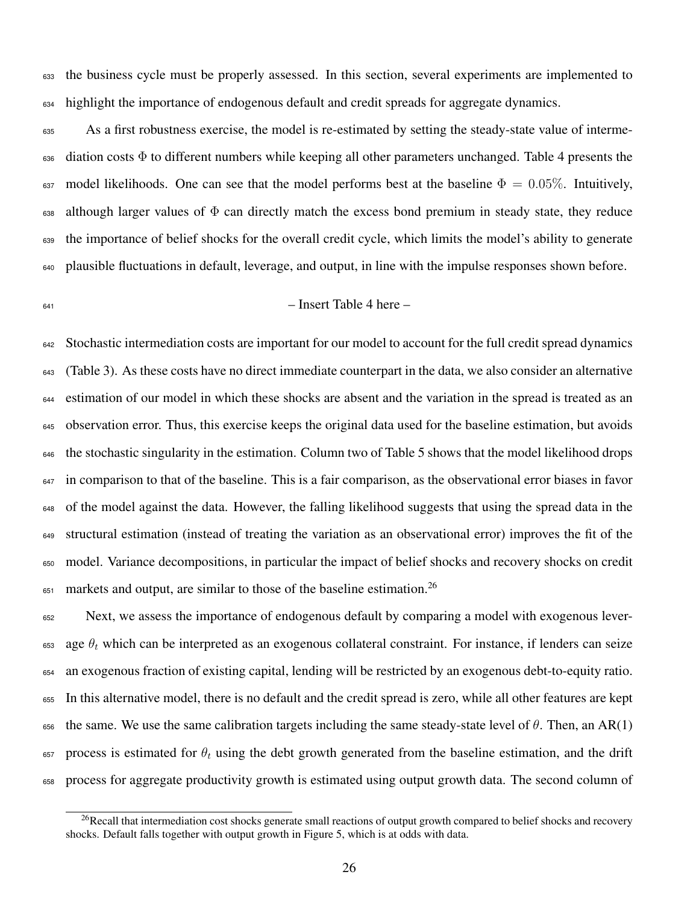the business cycle must be properly assessed. In this section, several experiments are implemented to highlight the importance of endogenous default and credit spreads for aggregate dynamics.

 As a first robustness exercise, the model is re-estimated by setting the steady-state value of interme-636 diation costs  $\Phi$  to different numbers while keeping all other parameters unchanged. Table [4](#page-34-0) presents the 637 model likelihoods. One can see that the model performs best at the baseline  $\Phi = 0.05\%$ . Intuitively, although larger values of  $\Phi$  can directly match the excess bond premium in steady state, they reduce the importance of belief shocks for the overall credit cycle, which limits the model's ability to generate plausible fluctuations in default, leverage, and output, in line with the impulse responses shown before.

$$
641\\
$$

### $-$  Insert Table 4 here  $-$

 Stochastic intermediation costs are important for our model to account for the full credit spread dynamics (Table [3\)](#page-33-0). As these costs have no direct immediate counterpart in the data, we also consider an alternative estimation of our model in which these shocks are absent and the variation in the spread is treated as an observation error. Thus, this exercise keeps the original data used for the baseline estimation, but avoids the stochastic singularity in the estimation. Column two of Table [5](#page-35-0) shows that the model likelihood drops <sup>647</sup> in comparison to that of the baseline. This is a fair comparison, as the observational error biases in favor of the model against the data. However, the falling likelihood suggests that using the spread data in the structural estimation (instead of treating the variation as an observational error) improves the fit of the model. Variance decompositions, in particular the impact of belief shocks and recovery shocks on credit markets and output, are similar to those of the baseline estimation.<sup>[26](#page-0-0)</sup> 

 Next, we assess the importance of endogenous default by comparing a model with exogenous lever- $\epsilon$ <sub>653</sub> age  $\theta_t$  which can be interpreted as an exogenous collateral constraint. For instance, if lenders can seize an exogenous fraction of existing capital, lending will be restricted by an exogenous debt-to-equity ratio. In this alternative model, there is no default and the credit spread is zero, while all other features are kept 656 the same. We use the same calibration targets including the same steady-state level of  $\theta$ . Then, an AR(1) process is estimated for  $\theta_t$  using the debt growth generated from the baseline estimation, and the drift process for aggregate productivity growth is estimated using output growth data. The second column of

<sup>&</sup>lt;sup>26</sup>Recall that intermediation cost shocks generate small reactions of output growth compared to belief shocks and recovery shocks. Default falls together with output growth in Figure [5,](#page-40-0) which is at odds with data.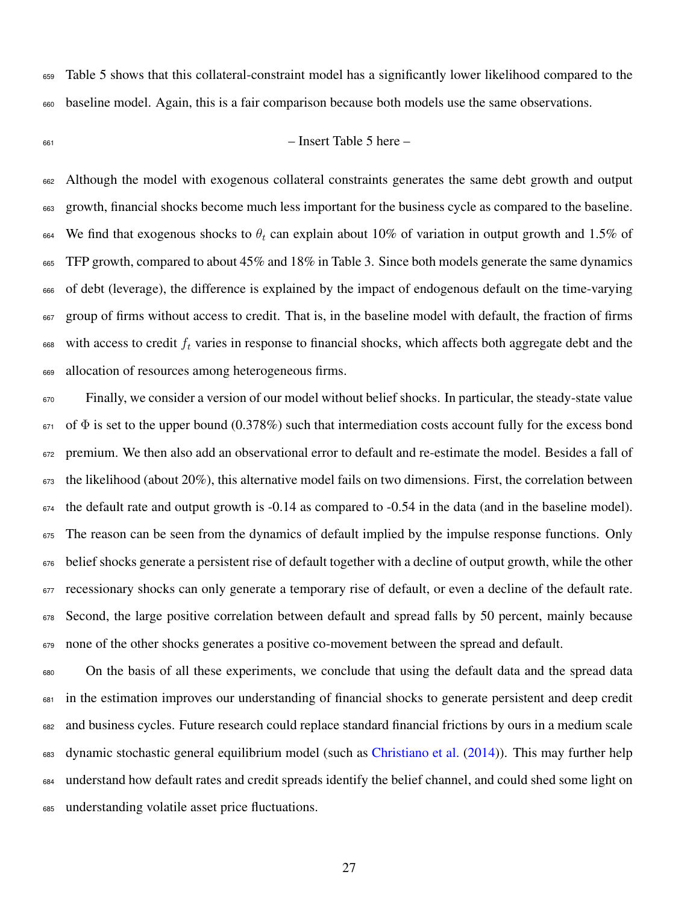Table [5](#page-35-0) shows that this collateral-constraint model has a significantly lower likelihood compared to the baseline model. Again, this is a fair comparison because both models use the same observations.

#### $\epsilon_{661}$  – Insert Table 5 here –

 Although the model with exogenous collateral constraints generates the same debt growth and output growth, financial shocks become much less important for the business cycle as compared to the baseline. <sup>664</sup> We find that exogenous shocks to  $\theta_t$  can explain about 10% of variation in output growth and 1.5% of TFP growth, compared to about 45% and 18% in Table [3.](#page-33-0) Since both models generate the same dynamics of debt (leverage), the difference is explained by the impact of endogenous default on the time-varying group of firms without access to credit. That is, in the baseline model with default, the fraction of firms  $\frac{668}{100}$  with access to credit  $f_t$  varies in response to financial shocks, which affects both aggregate debt and the allocation of resources among heterogeneous firms.

 Finally, we consider a version of our model without belief shocks. In particular, the steady-state value of  $\Phi$  is set to the upper bound (0.378%) such that intermediation costs account fully for the excess bond premium. We then also add an observational error to default and re-estimate the model. Besides a fall of the likelihood (about 20%), this alternative model fails on two dimensions. First, the correlation between the default rate and output growth is -0.14 as compared to -0.54 in the data (and in the baseline model). The reason can be seen from the dynamics of default implied by the impulse response functions. Only belief shocks generate a persistent rise of default together with a decline of output growth, while the other recessionary shocks can only generate a temporary rise of default, or even a decline of the default rate. Second, the large positive correlation between default and spread falls by 50 percent, mainly because none of the other shocks generates a positive co-movement between the spread and default.

 On the basis of all these experiments, we conclude that using the default data and the spread data in the estimation improves our understanding of financial shocks to generate persistent and deep credit and business cycles. Future research could replace standard financial frictions by ours in a medium scale 683 dynamic stochastic general equilibrium model (such as [Christiano et al.](#page-29-5) [\(2014\)](#page-29-5)). This may further help understand how default rates and credit spreads identify the belief channel, and could shed some light on understanding volatile asset price fluctuations.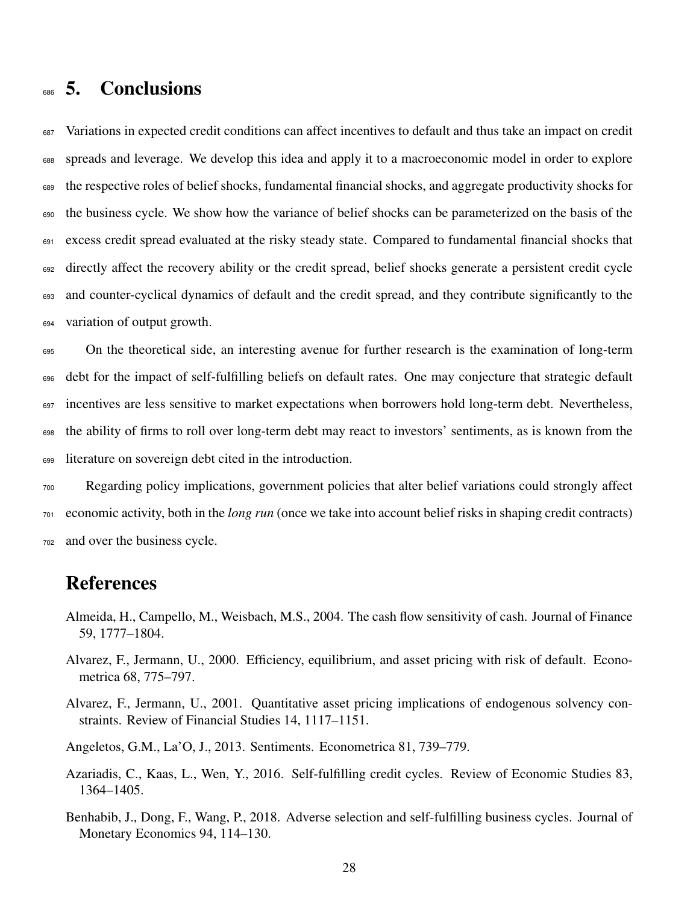# <sup>686</sup> 5. Conclusions

 Variations in expected credit conditions can affect incentives to default and thus take an impact on credit spreads and leverage. We develop this idea and apply it to a macroeconomic model in order to explore the respective roles of belief shocks, fundamental financial shocks, and aggregate productivity shocks for the business cycle. We show how the variance of belief shocks can be parameterized on the basis of the excess credit spread evaluated at the risky steady state. Compared to fundamental financial shocks that <sup>692</sup> directly affect the recovery ability or the credit spread, belief shocks generate a persistent credit cycle and counter-cyclical dynamics of default and the credit spread, and they contribute significantly to the variation of output growth.

 On the theoretical side, an interesting avenue for further research is the examination of long-term debt for the impact of self-fulfilling beliefs on default rates. One may conjecture that strategic default 697 incentives are less sensitive to market expectations when borrowers hold long-term debt. Nevertheless, the ability of firms to roll over long-term debt may react to investors' sentiments, as is known from the literature on sovereign debt cited in the introduction.

<sup>700</sup> Regarding policy implications, government policies that alter belief variations could strongly affect <sup>701</sup> economic activity, both in the *long run* (once we take into account belief risks in shaping credit contracts) <sup>702</sup> and over the business cycle.

## References

- <span id="page-28-5"></span>Almeida, H., Campello, M., Weisbach, M.S., 2004. The cash flow sensitivity of cash. Journal of Finance 59, 1777–1804.
- <span id="page-28-1"></span>Alvarez, F., Jermann, U., 2000. Efficiency, equilibrium, and asset pricing with risk of default. Econometrica 68, 775–797.
- <span id="page-28-2"></span>Alvarez, F., Jermann, U., 2001. Quantitative asset pricing implications of endogenous solvency constraints. Review of Financial Studies 14, 1117–1151.
- <span id="page-28-4"></span>Angeletos, G.M., La'O, J., 2013. Sentiments. Econometrica 81, 739–779.
- <span id="page-28-3"></span>Azariadis, C., Kaas, L., Wen, Y., 2016. Self-fulfilling credit cycles. Review of Economic Studies 83, 1364–1405.
- <span id="page-28-0"></span>Benhabib, J., Dong, F., Wang, P., 2018. Adverse selection and self-fulfilling business cycles. Journal of Monetary Economics 94, 114–130.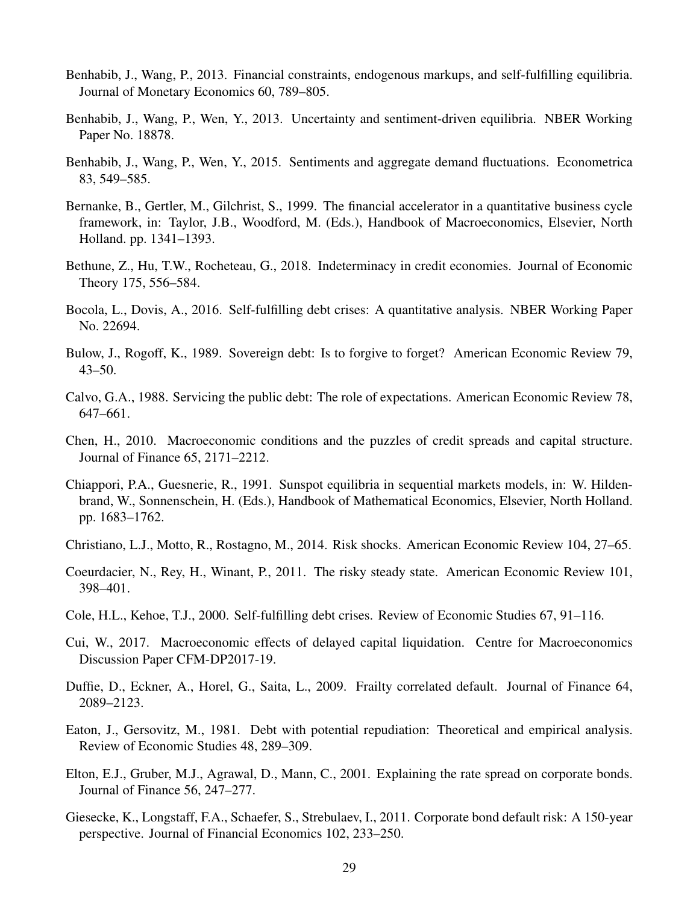- <span id="page-29-9"></span>Benhabib, J., Wang, P., 2013. Financial constraints, endogenous markups, and self-fulfilling equilibria. Journal of Monetary Economics 60, 789–805.
- <span id="page-29-10"></span>Benhabib, J., Wang, P., Wen, Y., 2013. Uncertainty and sentiment-driven equilibria. NBER Working Paper No. 18878.
- <span id="page-29-11"></span>Benhabib, J., Wang, P., Wen, Y., 2015. Sentiments and aggregate demand fluctuations. Econometrica 83, 549–585.
- <span id="page-29-4"></span>Bernanke, B., Gertler, M., Gilchrist, S., 1999. The financial accelerator in a quantitative business cycle framework, in: Taylor, J.B., Woodford, M. (Eds.), Handbook of Macroeconomics, Elsevier, North Holland. pp. 1341–1393.
- <span id="page-29-8"></span>Bethune, Z., Hu, T.W., Rocheteau, G., 2018. Indeterminacy in credit economies. Journal of Economic Theory 175, 556–584.
- <span id="page-29-14"></span>Bocola, L., Dovis, A., 2016. Self-fulfilling debt crises: A quantitative analysis. NBER Working Paper No. 22694.
- <span id="page-29-7"></span>Bulow, J., Rogoff, K., 1989. Sovereign debt: Is to forgive to forget? American Economic Review 79, 43–50.
- <span id="page-29-12"></span>Calvo, G.A., 1988. Servicing the public debt: The role of expectations. American Economic Review 78, 647–661.
- <span id="page-29-17"></span>Chen, H., 2010. Macroeconomic conditions and the puzzles of credit spreads and capital structure. Journal of Finance 65, 2171–2212.
- <span id="page-29-16"></span>Chiappori, P.A., Guesnerie, R., 1991. Sunspot equilibria in sequential markets models, in: W. Hildenbrand, W., Sonnenschein, H. (Eds.), Handbook of Mathematical Economics, Elsevier, North Holland. pp. 1683–1762.
- <span id="page-29-5"></span>Christiano, L.J., Motto, R., Rostagno, M., 2014. Risk shocks. American Economic Review 104, 27–65.
- <span id="page-29-2"></span>Coeurdacier, N., Rey, H., Winant, P., 2011. The risky steady state. American Economic Review 101, 398–401.
- <span id="page-29-13"></span>Cole, H.L., Kehoe, T.J., 2000. Self-fulfilling debt crises. Review of Economic Studies 67, 91–116.
- <span id="page-29-15"></span>Cui, W., 2017. Macroeconomic effects of delayed capital liquidation. Centre for Macroeconomics Discussion Paper CFM-DP2017-19.
- <span id="page-29-0"></span>Duffie, D., Eckner, A., Horel, G., Saita, L., 2009. Frailty correlated default. Journal of Finance 64, 2089–2123.
- <span id="page-29-6"></span>Eaton, J., Gersovitz, M., 1981. Debt with potential repudiation: Theoretical and empirical analysis. Review of Economic Studies 48, 289–309.
- <span id="page-29-3"></span>Elton, E.J., Gruber, M.J., Agrawal, D., Mann, C., 2001. Explaining the rate spread on corporate bonds. Journal of Finance 56, 247–277.
- <span id="page-29-1"></span>Giesecke, K., Longstaff, F.A., Schaefer, S., Strebulaev, I., 2011. Corporate bond default risk: A 150-year perspective. Journal of Financial Economics 102, 233–250.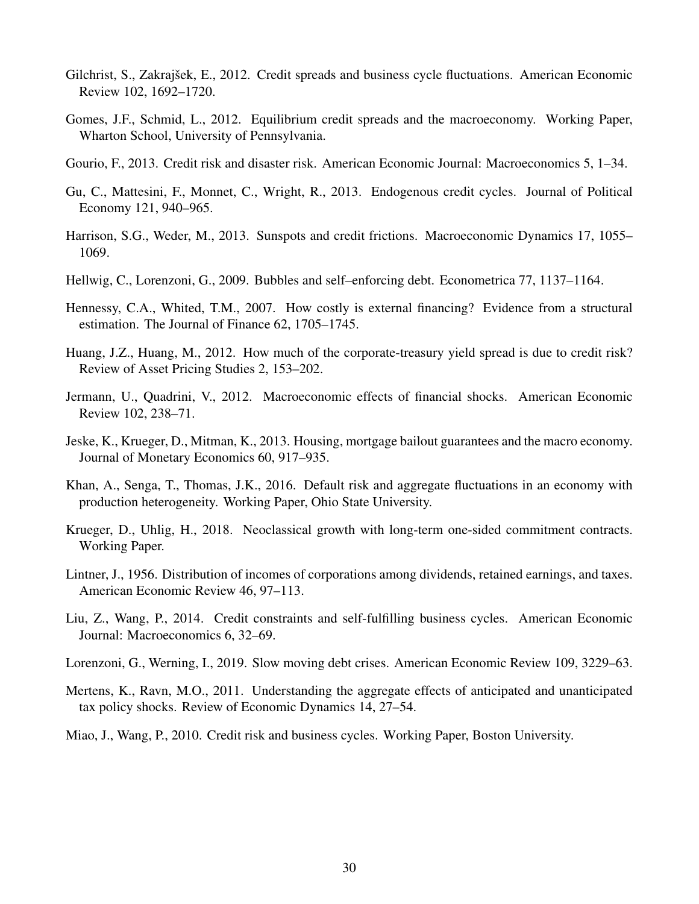- <span id="page-30-0"></span>Gilchrist, S., Zakrajšek, E., 2012. Credit spreads and business cycle fluctuations. American Economic Review 102, 1692–1720.
- <span id="page-30-5"></span>Gomes, J.F., Schmid, L., 2012. Equilibrium credit spreads and the macroeconomy. Working Paper, Wharton School, University of Pennsylvania.
- <span id="page-30-3"></span>Gourio, F., 2013. Credit risk and disaster risk. American Economic Journal: Macroeconomics 5, 1–34.
- <span id="page-30-11"></span>Gu, C., Mattesini, F., Monnet, C., Wright, R., 2013. Endogenous credit cycles. Journal of Political Economy 121, 940–965.
- <span id="page-30-9"></span>Harrison, S.G., Weder, M., 2013. Sunspots and credit frictions. Macroeconomic Dynamics 17, 1055– 1069.
- <span id="page-30-7"></span>Hellwig, C., Lorenzoni, G., 2009. Bubbles and self–enforcing debt. Econometrica 77, 1137–1164.
- <span id="page-30-4"></span>Hennessy, C.A., Whited, T.M., 2007. How costly is external financing? Evidence from a structural estimation. The Journal of Finance 62, 1705–1745.
- <span id="page-30-1"></span>Huang, J.Z., Huang, M., 2012. How much of the corporate-treasury yield spread is due to credit risk? Review of Asset Pricing Studies 2, 153–202.
- <span id="page-30-14"></span>Jermann, U., Quadrini, V., 2012. Macroeconomic effects of financial shocks. American Economic Review 102, 238–71.
- <span id="page-30-16"></span>Jeske, K., Krueger, D., Mitman, K., 2013. Housing, mortgage bailout guarantees and the macro economy. Journal of Monetary Economics 60, 917–935.
- <span id="page-30-6"></span>Khan, A., Senga, T., Thomas, J.K., 2016. Default risk and aggregate fluctuations in an economy with production heterogeneity. Working Paper, Ohio State University.
- <span id="page-30-8"></span>Krueger, D., Uhlig, H., 2018. Neoclassical growth with long-term one-sided commitment contracts. Working Paper.
- <span id="page-30-13"></span>Lintner, J., 1956. Distribution of incomes of corporations among dividends, retained earnings, and taxes. American Economic Review 46, 97–113.
- <span id="page-30-10"></span>Liu, Z., Wang, P., 2014. Credit constraints and self-fulfilling business cycles. American Economic Journal: Macroeconomics 6, 32–69.
- <span id="page-30-12"></span>Lorenzoni, G., Werning, I., 2019. Slow moving debt crises. American Economic Review 109, 3229–63.
- <span id="page-30-15"></span>Mertens, K., Ravn, M.O., 2011. Understanding the aggregate effects of anticipated and unanticipated tax policy shocks. Review of Economic Dynamics 14, 27–54.
- <span id="page-30-2"></span>Miao, J., Wang, P., 2010. Credit risk and business cycles. Working Paper, Boston University.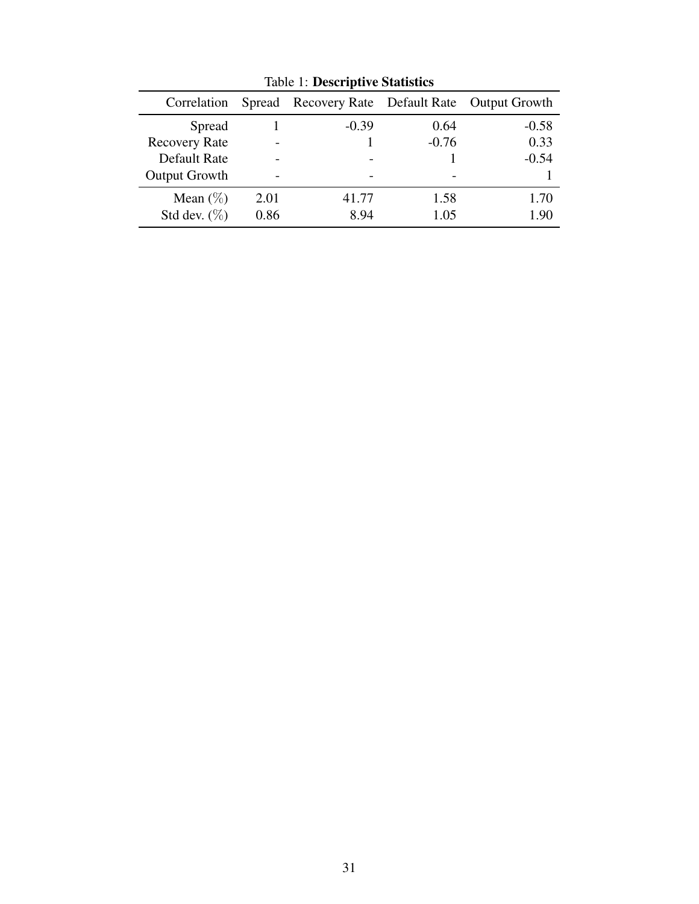| Correlation          |      | Spread Recovery Rate Default Rate Output Growth |         |         |
|----------------------|------|-------------------------------------------------|---------|---------|
| Spread               |      | $-0.39$                                         | 0.64    | $-0.58$ |
| <b>Recovery Rate</b> |      |                                                 | $-0.76$ | 0.33    |
| Default Rate         |      |                                                 |         | $-0.54$ |
| <b>Output Growth</b> |      |                                                 |         |         |
| Mean $(\%)$          | 2.01 | 41.77                                           | 1.58    | 1.70    |
| Std dev. $(\%)$      | 0.86 | 8.94                                            | 1.05    | 1.90    |

<span id="page-31-0"></span>Table 1: Descriptive Statistics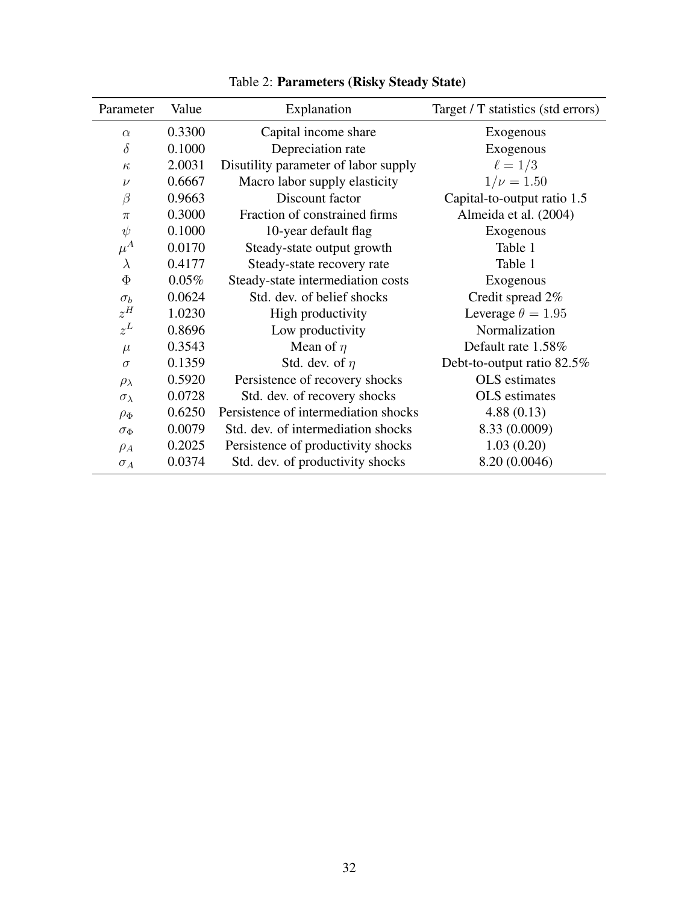| Parameter          | Value  | Explanation                          | Target / T statistics (std errors) |
|--------------------|--------|--------------------------------------|------------------------------------|
| $\alpha$           | 0.3300 | Capital income share                 | Exogenous                          |
| $\delta$           | 0.1000 | Depreciation rate                    | Exogenous                          |
| $\kappa$           | 2.0031 | Disutility parameter of labor supply | $\ell=1/3$                         |
| $\nu$              | 0.6667 | Macro labor supply elasticity        | $1/\nu = 1.50$                     |
| $\beta$            | 0.9663 | Discount factor                      | Capital-to-output ratio 1.5        |
| $\pi$              | 0.3000 | Fraction of constrained firms        | Almeida et al. (2004)              |
| $\psi$             | 0.1000 | 10-year default flag                 | Exogenous                          |
| $\mu^A$            | 0.0170 | Steady-state output growth           | Table 1                            |
| $\lambda$          | 0.4177 | Steady-state recovery rate           | Table 1                            |
| $\Phi$             | 0.05%  | Steady-state intermediation costs    | Exogenous                          |
| $\sigma_b$         | 0.0624 | Std. dev. of belief shocks           | Credit spread 2%                   |
| $z^H$              | 1.0230 | High productivity                    | Leverage $\theta = 1.95$           |
| $z^L$              | 0.8696 | Low productivity                     | Normalization                      |
| $\mu$              | 0.3543 | Mean of $\eta$                       | Default rate 1.58%                 |
| $\sigma$           | 0.1359 | Std. dev. of $\eta$                  | Debt-to-output ratio 82.5%         |
| $\rho_{\lambda}$   | 0.5920 | Persistence of recovery shocks       | OLS estimates                      |
| $\sigma_{\lambda}$ | 0.0728 | Std. dev. of recovery shocks         | OLS estimates                      |
| $\rho_{\Phi}$      | 0.6250 | Persistence of intermediation shocks | 4.88(0.13)                         |
| $\sigma_{\Phi}$    | 0.0079 | Std. dev. of intermediation shocks   | 8.33 (0.0009)                      |
| $\rho_A$           | 0.2025 | Persistence of productivity shocks   | 1.03(0.20)                         |
| $\sigma_A$         | 0.0374 | Std. dev. of productivity shocks     | 8.20 (0.0046)                      |

<span id="page-32-0"></span>

| Table 2: Parameters (Risky Steady State) |  |  |  |
|------------------------------------------|--|--|--|
|------------------------------------------|--|--|--|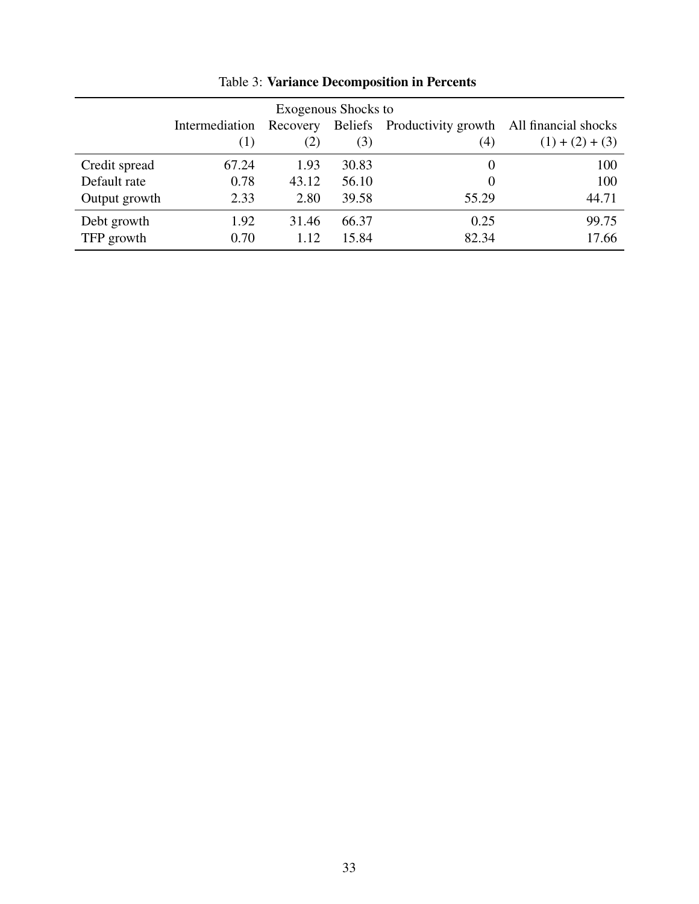| Exogenous Shocks to |                |          |                |                                          |                   |
|---------------------|----------------|----------|----------------|------------------------------------------|-------------------|
|                     | Intermediation | Recovery | <b>Beliefs</b> | Productivity growth All financial shocks |                   |
|                     | (1)            | (2)      | (3)            | (4)                                      | $(1) + (2) + (3)$ |
| Credit spread       | 67.24          | 1.93     | 30.83          | 0                                        | 100               |
| Default rate        | 0.78           | 43.12    | 56.10          | $\theta$                                 | 100               |
| Output growth       | 2.33           | 2.80     | 39.58          | 55.29                                    | 44.71             |
| Debt growth         | 1.92           | 31.46    | 66.37          | 0.25                                     | 99.75             |
| TFP growth          | 0.70           | 1.12     | 15.84          | 82.34                                    | 17.66             |

<span id="page-33-0"></span>Table 3: Variance Decomposition in Percents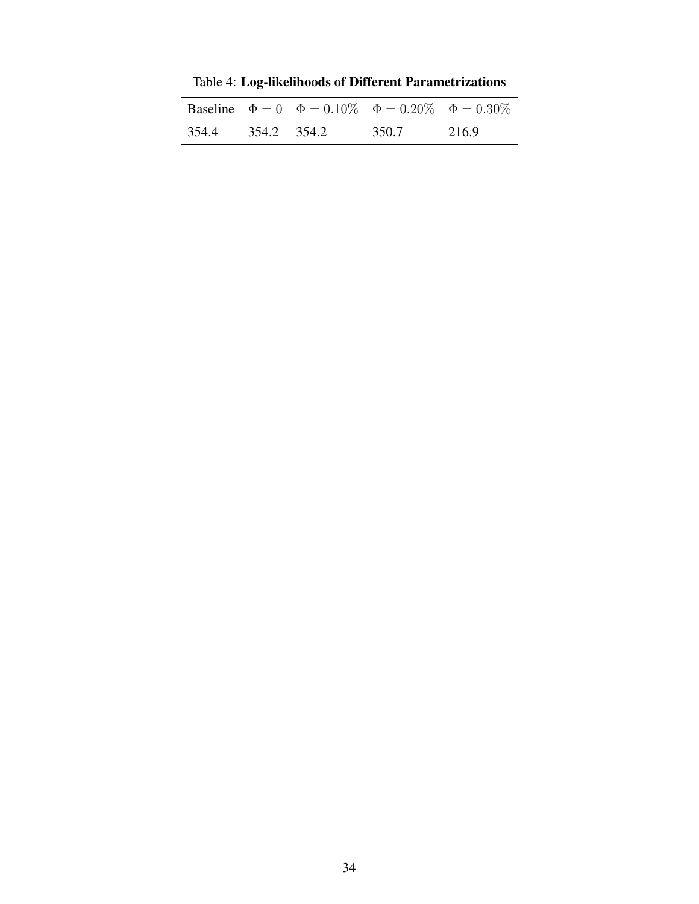|       |           | <b>Baseline</b> $\Phi = 0$ $\Phi = 0.10\%$ $\Phi = 0.20\%$ $\Phi = 0.30\%$ |       |       |
|-------|-----------|----------------------------------------------------------------------------|-------|-------|
| 354.4 | 3542 3542 |                                                                            | 350.7 | 216.9 |

<span id="page-34-0"></span>Table 4: Log-likelihoods of Different Parametrizations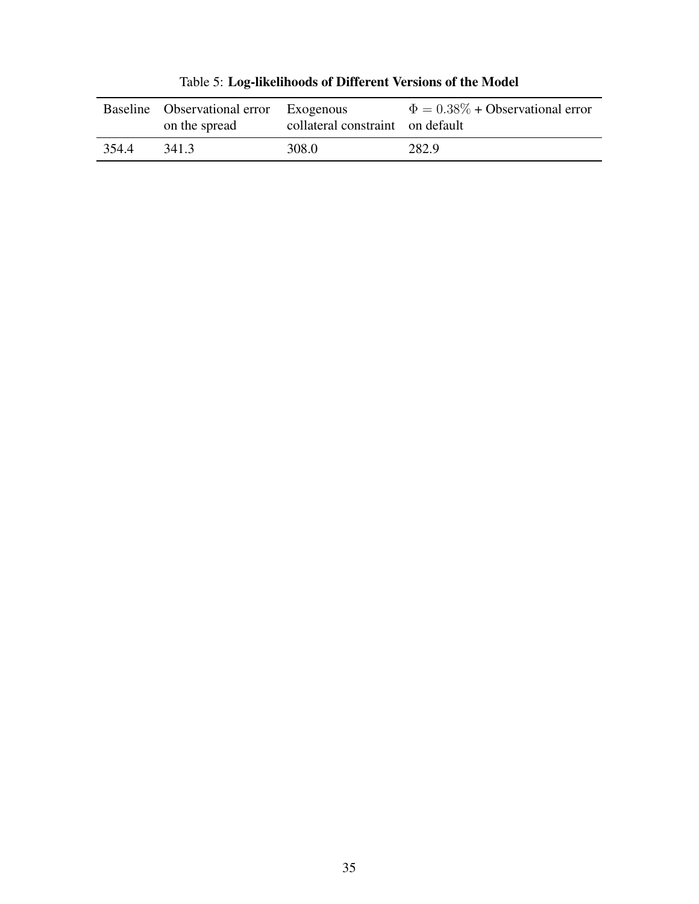|       | Baseline Observational error<br>on the spread | Exogenous<br>collateral constraint on default | $\Phi = 0.38\% + Observational error$ |
|-------|-----------------------------------------------|-----------------------------------------------|---------------------------------------|
| 354.4 | 341.3                                         | 308.0                                         | 282.9                                 |

<span id="page-35-0"></span>Table 5: Log-likelihoods of Different Versions of the Model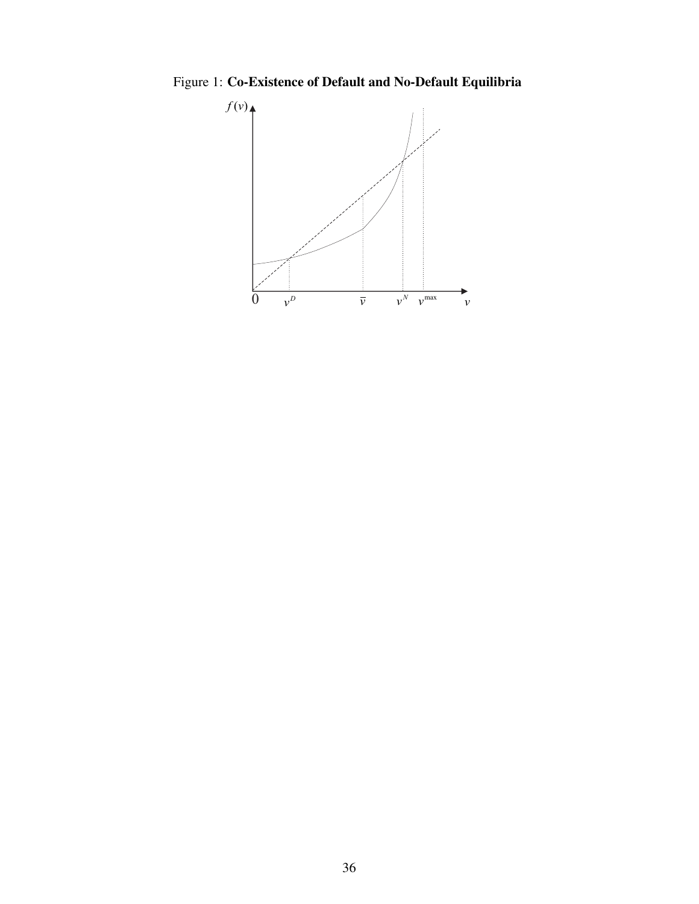Figure 1: Co-Existence of Default and No-Default Equilibria

<span id="page-36-0"></span>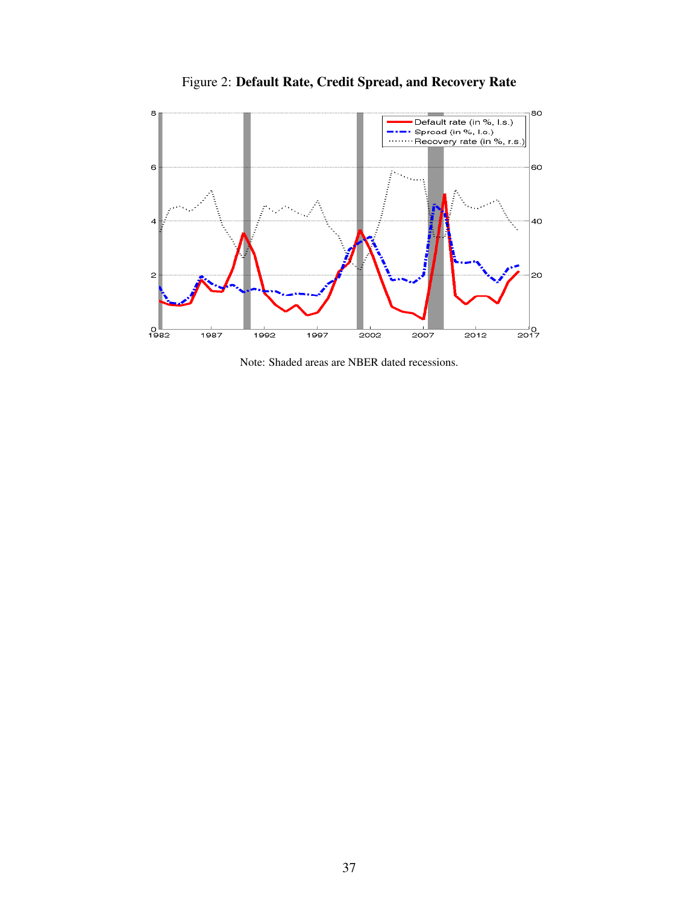

<span id="page-37-0"></span>Figure 2: Default Rate, Credit Spread, and Recovery Rate

Note: Shaded areas are NBER dated recessions.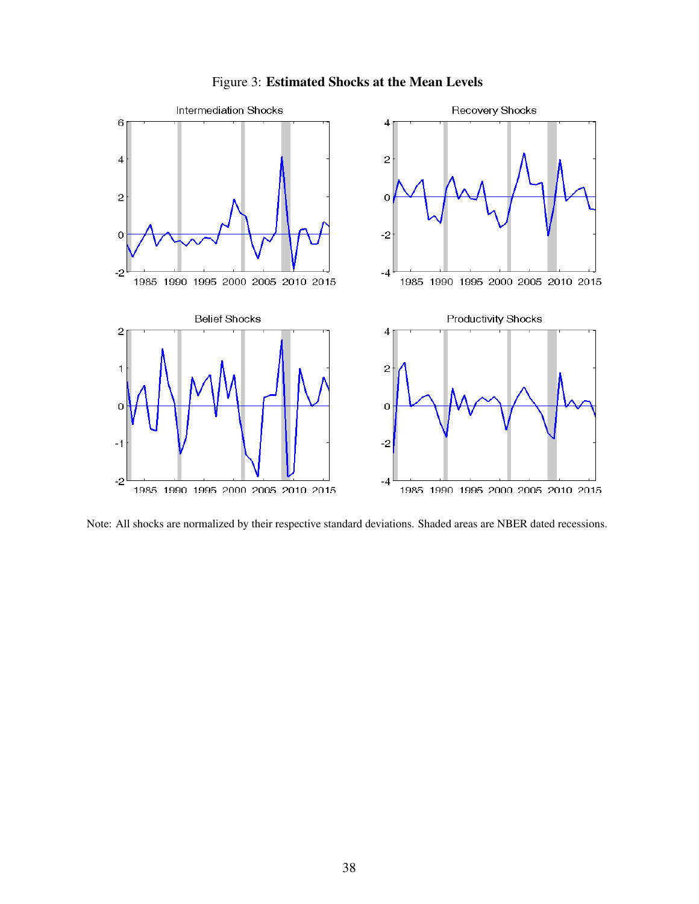

<span id="page-38-0"></span>

Note: All shocks are normalized by their respective standard deviations. Shaded areas are NBER dated recessions.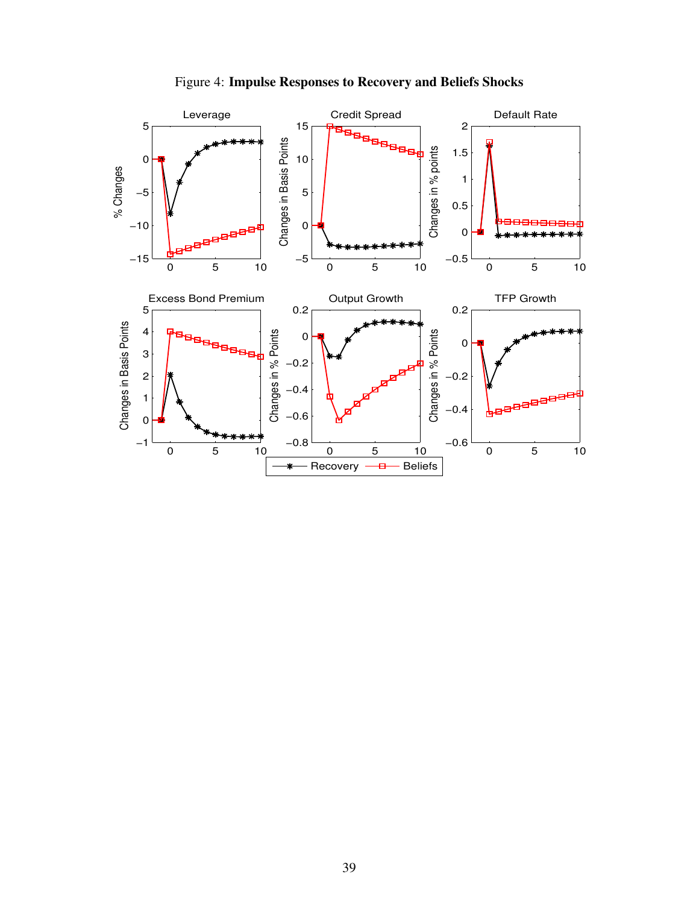

<span id="page-39-0"></span>Figure 4: Impulse Responses to Recovery and Beliefs Shocks